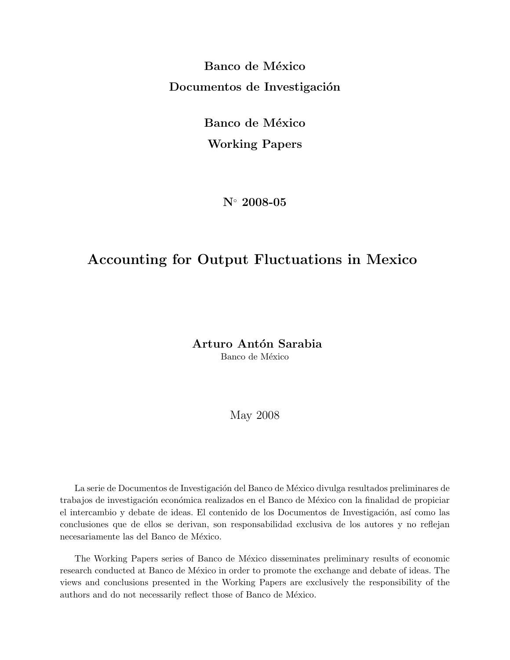Banco de México Documentos de Investigación

> Banco de México Working Papers

> > N◦ 2008-05

## Accounting for Output Fluctuations in Mexico

Arturo Antón Sarabia Banco de México

May 2008

La serie de Documentos de Investigación del Banco de México divulga resultados preliminares de trabajos de investigación económica realizados en el Banco de México con la finalidad de propiciar el intercambio y debate de ideas. El contenido de los Documentos de Investigación, así como las conclusiones que de ellos se derivan, son responsabilidad exclusiva de los autores y no reflejan necesariamente las del Banco de México.

The Working Papers series of Banco de México disseminates preliminary results of economic research conducted at Banco de México in order to promote the exchange and debate of ideas. The views and conclusions presented in the Working Papers are exclusively the responsibility of the authors and do not necessarily reflect those of Banco de México.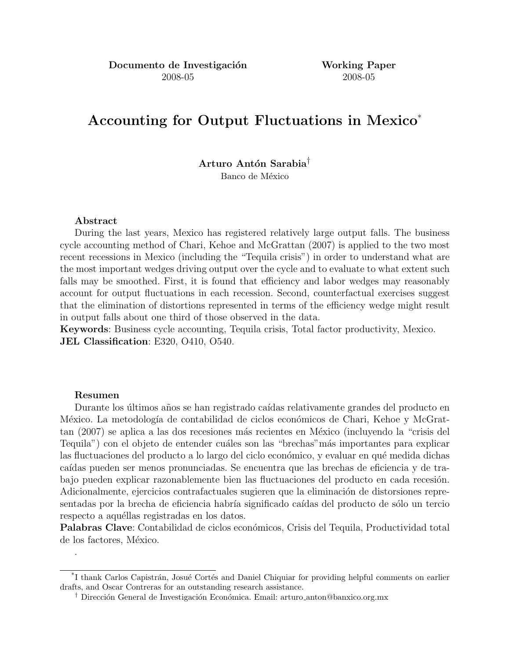# Accounting for Output Fluctuations in Mexico\*

## Arturo Antón Sarabia<sup>†</sup>

Banco de México

### Abstract

During the last years, Mexico has registered relatively large output falls. The business cycle accounting method of Chari, Kehoe and McGrattan (2007) is applied to the two most recent recessions in Mexico (including the "Tequila crisis") in order to understand what are the most important wedges driving output over the cycle and to evaluate to what extent such falls may be smoothed. First, it is found that efficiency and labor wedges may reasonably account for output fluctuations in each recession. Second, counterfactual exercises suggest that the elimination of distortions represented in terms of the efficiency wedge might result in output falls about one third of those observed in the data.

Keywords: Business cycle accounting, Tequila crisis, Total factor productivity, Mexico. JEL Classification: E320, O410, O540.

### Resumen

.

Durante los últimos años se han registrado caídas relativamente grandes del producto en México. La metodología de contabilidad de ciclos económicos de Chari, Kehoe y McGrattan (2007) se aplica a las dos recesiones más recientes en México (incluyendo la "crisis del Tequila") con el objeto de entender cuáles son las "brechas" más importantes para explicar las fluctuaciones del producto a lo largo del ciclo económico, y evaluar en qué medida dichas caídas pueden ser menos pronunciadas. Se encuentra que las brechas de eficiencia y de trabajo pueden explicar razonablemente bien las fluctuaciones del producto en cada recesión. Adicionalmente, ejercicios contrafactuales sugieren que la eliminación de distorsiones representadas por la brecha de eficiencia habría significado caídas del producto de sólo un tercio respecto a aquéllas registradas en los datos.

Palabras Clave: Contabilidad de ciclos económicos, Crisis del Tequila, Productividad total de los factores, México.

<sup>&</sup>lt;sup>\*</sup>I thank Carlos Capistrán, Josué Cortés and Daniel Chiquiar for providing helpful comments on earlier drafts, and Oscar Contreras for an outstanding research assistance.

<sup>&</sup>lt;sup>†</sup> Dirección General de Investigación Económica. Email: arturo anton@banxico.org.mx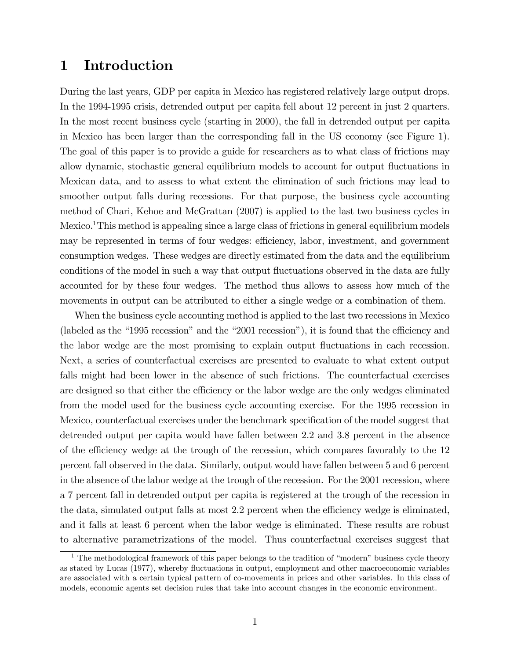## 1 Introduction

During the last years, GDP per capita in Mexico has registered relatively large output drops. In the 1994-1995 crisis, detrended output per capita fell about 12 percent in just 2 quarters. In the most recent business cycle (starting in 2000), the fall in detrended output per capita in Mexico has been larger than the corresponding fall in the US economy (see Figure 1). The goal of this paper is to provide a guide for researchers as to what class of frictions may allow dynamic, stochastic general equilibrium models to account for output fluctuations in Mexican data, and to assess to what extent the elimination of such frictions may lead to smoother output falls during recessions. For that purpose, the business cycle accounting method of Chari, Kehoe and McGrattan (2007) is applied to the last two business cycles in Mexico.<sup>1</sup>This method is appealing since a large class of frictions in general equilibrium models may be represented in terms of four wedges: efficiency, labor, investment, and government consumption wedges. These wedges are directly estimated from the data and the equilibrium conditions of the model in such a way that output fluctuations observed in the data are fully accounted for by these four wedges. The method thus allows to assess how much of the movements in output can be attributed to either a single wedge or a combination of them.

When the business cycle accounting method is applied to the last two recessions in Mexico (labeled as the  $41995$  recession" and the  $42001$  recession"), it is found that the efficiency and the labor wedge are the most promising to explain output fluctuations in each recession. Next, a series of counterfactual exercises are presented to evaluate to what extent output falls might had been lower in the absence of such frictions. The counterfactual exercises are designed so that either the efficiency or the labor wedge are the only wedges eliminated from the model used for the business cycle accounting exercise. For the 1995 recession in Mexico, counterfactual exercises under the benchmark specification of the model suggest that detrended output per capita would have fallen between 2.2 and 3.8 percent in the absence of the efficiency wedge at the trough of the recession, which compares favorably to the 12 percent fall observed in the data. Similarly, output would have fallen between 5 and 6 percent in the absence of the labor wedge at the trough of the recession. For the 2001 recession, where a 7 percent fall in detrended output per capita is registered at the trough of the recession in the data, simulated output falls at most 2.2 percent when the efficiency wedge is eliminated, and it falls at least 6 percent when the labor wedge is eliminated. These results are robust to alternative parametrizations of the model. Thus counterfactual exercises suggest that

<sup>&</sup>lt;sup>1</sup> The methodological framework of this paper belongs to the tradition of "modern" business cycle theory as stated by Lucas (1977), whereby fluctuations in output, employment and other macroeconomic variables are associated with a certain typical pattern of co-movements in prices and other variables. In this class of models, economic agents set decision rules that take into account changes in the economic environment.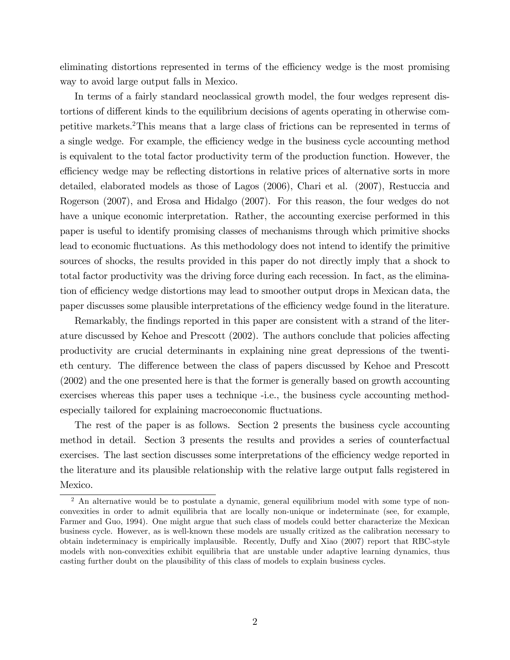eliminating distortions represented in terms of the efficiency wedge is the most promising way to avoid large output falls in Mexico.

In terms of a fairly standard neoclassical growth model, the four wedges represent distortions of different kinds to the equilibrium decisions of agents operating in otherwise competitive markets.<sup>2</sup>This means that a large class of frictions can be represented in terms of a single wedge. For example, the efficiency wedge in the business cycle accounting method is equivalent to the total factor productivity term of the production function. However, the efficiency wedge may be reflecting distortions in relative prices of alternative sorts in more detailed, elaborated models as those of Lagos (2006), Chari et al. (2007), Restuccia and Rogerson (2007), and Erosa and Hidalgo (2007). For this reason, the four wedges do not have a unique economic interpretation. Rather, the accounting exercise performed in this paper is useful to identify promising classes of mechanisms through which primitive shocks lead to economic fluctuations. As this methodology does not intend to identify the primitive sources of shocks, the results provided in this paper do not directly imply that a shock to total factor productivity was the driving force during each recession. In fact, as the elimination of efficiency wedge distortions may lead to smoother output drops in Mexican data, the paper discusses some plausible interpretations of the efficiency wedge found in the literature.

Remarkably, the findings reported in this paper are consistent with a strand of the literature discussed by Kehoe and Prescott (2002). The authors conclude that policies affecting productivity are crucial determinants in explaining nine great depressions of the twentieth century. The difference between the class of papers discussed by Kehoe and Prescott (2002) and the one presented here is that the former is generally based on growth accounting exercises whereas this paper uses a technique -i.e., the business cycle accounting methodespecially tailored for explaining macroeconomic fluctuations.

The rest of the paper is as follows. Section 2 presents the business cycle accounting method in detail. Section 3 presents the results and provides a series of counterfactual exercises. The last section discusses some interpretations of the efficiency wedge reported in the literature and its plausible relationship with the relative large output falls registered in Mexico.

<sup>&</sup>lt;sup>2</sup> An alternative would be to postulate a dynamic, general equilibrium model with some type of nonconvexities in order to admit equilibria that are locally non-unique or indeterminate (see, for example, Farmer and Guo, 1994). One might argue that such class of models could better characterize the Mexican business cycle. However, as is well-known these models are usually critized as the calibration necessary to obtain indeterminacy is empirically implausible. Recently, Duffy and Xiao (2007) report that RBC-style models with non-convexities exhibit equilibria that are unstable under adaptive learning dynamics, thus casting further doubt on the plausibility of this class of models to explain business cycles.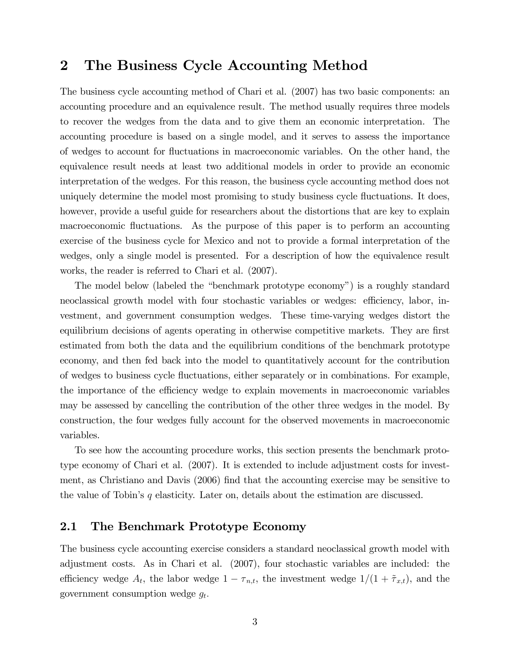## 2 The Business Cycle Accounting Method

The business cycle accounting method of Chari et al. (2007) has two basic components: an accounting procedure and an equivalence result. The method usually requires three models to recover the wedges from the data and to give them an economic interpretation. The accounting procedure is based on a single model, and it serves to assess the importance of wedges to account for áuctuations in macroeconomic variables. On the other hand, the equivalence result needs at least two additional models in order to provide an economic interpretation of the wedges. For this reason, the business cycle accounting method does not uniquely determine the model most promising to study business cycle fluctuations. It does, however, provide a useful guide for researchers about the distortions that are key to explain macroeconomic fluctuations. As the purpose of this paper is to perform an accounting exercise of the business cycle for Mexico and not to provide a formal interpretation of the wedges, only a single model is presented. For a description of how the equivalence result works, the reader is referred to Chari et al. (2007).

The model below (labeled the "benchmark prototype economy") is a roughly standard neoclassical growth model with four stochastic variables or wedges: efficiency, labor, investment, and government consumption wedges. These time-varying wedges distort the equilibrium decisions of agents operating in otherwise competitive markets. They are first estimated from both the data and the equilibrium conditions of the benchmark prototype economy, and then fed back into the model to quantitatively account for the contribution of wedges to business cycle áuctuations, either separately or in combinations. For example, the importance of the efficiency wedge to explain movements in macroeconomic variables may be assessed by cancelling the contribution of the other three wedges in the model. By construction, the four wedges fully account for the observed movements in macroeconomic variables.

To see how the accounting procedure works, this section presents the benchmark prototype economy of Chari et al. (2007). It is extended to include adjustment costs for investment, as Christiano and Davis (2006) find that the accounting exercise may be sensitive to the value of Tobin's  $q$  elasticity. Later on, details about the estimation are discussed.

## 2.1 The Benchmark Prototype Economy

The business cycle accounting exercise considers a standard neoclassical growth model with adjustment costs. As in Chari et al. (2007), four stochastic variables are included: the efficiency wedge  $A_t$ , the labor wedge  $1 - \tau_{n,t}$ , the investment wedge  $1/(1 + \tilde{\tau}_{x,t})$ , and the government consumption wedge  $g_t$ .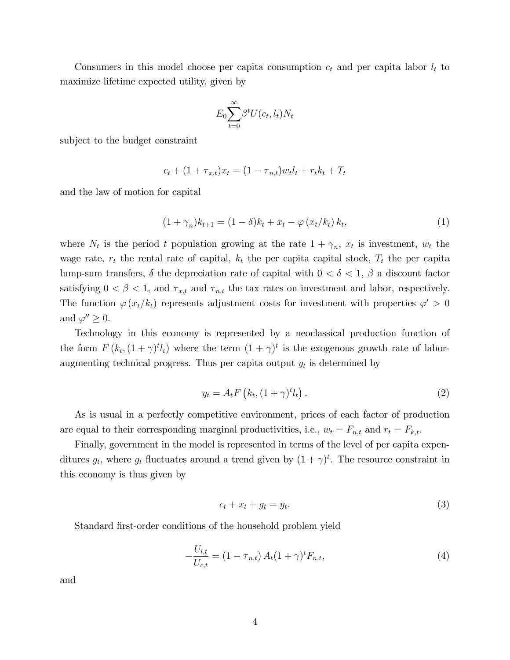Consumers in this model choose per capita consumption  $c_t$  and per capita labor  $l_t$  to maximize lifetime expected utility, given by

$$
E_0 \sum_{t=0}^{\infty} \beta^t U(c_t, l_t) N_t
$$

subject to the budget constraint

$$
c_t + (1 + \tau_{x,t})x_t = (1 - \tau_{n,t})w_t l_t + r_t k_t + T_t
$$

and the law of motion for capital

$$
(1 + \gamma_n)k_{t+1} = (1 - \delta)k_t + x_t - \varphi(x_t/k_t)k_t,
$$
\n(1)

where  $N_t$  is the period t population growing at the rate  $1 + \gamma_n$ ,  $x_t$  is investment,  $w_t$  the wage rate,  $r_t$  the rental rate of capital,  $k_t$  the per capital capital stock,  $T_t$  the per capita lump-sum transfers,  $\delta$  the depreciation rate of capital with  $0 < \delta < 1$ ,  $\beta$  a discount factor satisfying  $0 < \beta < 1$ , and  $\tau_{x,t}$  and  $\tau_{n,t}$  the tax rates on investment and labor, respectively. The function  $\varphi(x_t/k_t)$  represents adjustment costs for investment with properties  $\varphi' > 0$ and  $\varphi'' \geq 0$ .

Technology in this economy is represented by a neoclassical production function of the form  $F(k_t, (1+\gamma)^t l_t)$  where the term  $(1+\gamma)^t$  is the exogenous growth rate of laboraugmenting technical progress. Thus per capita output  $y_t$  is determined by

$$
y_t = A_t F\left(k_t, (1+\gamma)^t l_t\right). \tag{2}
$$

As is usual in a perfectly competitive environment, prices of each factor of production are equal to their corresponding marginal productivities, i.e.,  $w_t = F_{n,t}$  and  $r_t = F_{k,t}$ .

Finally, government in the model is represented in terms of the level of per capita expenditures  $g_t$ , where  $g_t$  fluctuates around a trend given by  $(1 + \gamma)^t$ . The resource constraint in this economy is thus given by

$$
c_t + x_t + g_t = y_t. \tag{3}
$$

Standard first-order conditions of the household problem yield

$$
-\frac{U_{l,t}}{U_{c,t}} = (1 - \tau_{n,t}) A_t (1 + \gamma)^t F_{n,t},
$$
\n(4)

and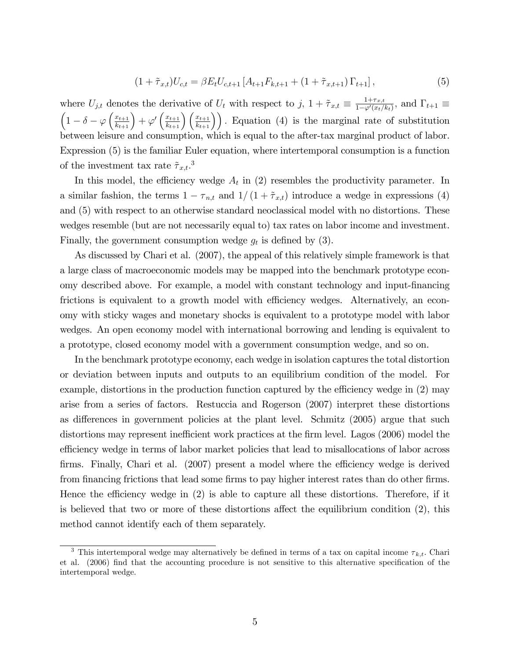$$
(1 + \tilde{\tau}_{x,t})U_{c,t} = \beta E_t U_{c,t+1} \left[ A_{t+1} F_{k,t+1} + (1 + \tilde{\tau}_{x,t+1}) \Gamma_{t+1} \right],
$$
\n(5)

where  $U_{j,t}$  denotes the derivative of  $U_t$  with respect to  $j, 1 + \tilde{\tau}_{x,t} \equiv \frac{1+\tau_{x,t}}{1-\varphi'(x_t)}$  $\frac{1+\tau_{x,t}}{1-\varphi'(x_t/k_t)},$  and  $\Gamma_{t+1} \equiv$  $\left(1-\delta-\varphi\left(\frac{x_{t+1}}{k_{t+1}}\right)+\varphi'\left(\frac{x_{t+1}}{k_{t+1}}\right)\left(\frac{x_{t+1}}{k_{t+1}}\right)\right)$ . Equation (4) is the marginal rate of substitution between leisure and consumption, which is equal to the after-tax marginal product of labor. Expression (5) is the familiar Euler equation, where intertemporal consumption is a function of the investment tax rate  $\tilde{\tau}_{x,t}.^3$ 

In this model, the efficiency wedge  $A_t$  in (2) resembles the productivity parameter. In a similar fashion, the terms  $1 - \tau_{n,t}$  and  $1/(1 + \tilde{\tau}_{x,t})$  introduce a wedge in expressions (4) and (5) with respect to an otherwise standard neoclassical model with no distortions. These wedges resemble (but are not necessarily equal to) tax rates on labor income and investment. Finally, the government consumption wedge  $g_t$  is defined by (3).

As discussed by Chari et al. (2007), the appeal of this relatively simple framework is that a large class of macroeconomic models may be mapped into the benchmark prototype economy described above. For example, a model with constant technology and input-Önancing frictions is equivalent to a growth model with efficiency wedges. Alternatively, an economy with sticky wages and monetary shocks is equivalent to a prototype model with labor wedges. An open economy model with international borrowing and lending is equivalent to a prototype, closed economy model with a government consumption wedge, and so on.

In the benchmark prototype economy, each wedge in isolation captures the total distortion or deviation between inputs and outputs to an equilibrium condition of the model. For example, distortions in the production function captured by the efficiency wedge in  $(2)$  may arise from a series of factors. Restuccia and Rogerson (2007) interpret these distortions as differences in government policies at the plant level. Schmitz  $(2005)$  argue that such distortions may represent inefficient work practices at the firm level. Lagos (2006) model the efficiency wedge in terms of labor market policies that lead to misallocations of labor across firms. Finally, Chari et al.  $(2007)$  present a model where the efficiency wedge is derived from financing frictions that lead some firms to pay higher interest rates than do other firms. Hence the efficiency wedge in  $(2)$  is able to capture all these distortions. Therefore, if it is believed that two or more of these distortions affect the equilibrium condition  $(2)$ , this method cannot identify each of them separately.

<sup>&</sup>lt;sup>3</sup> This intertemporal wedge may alternatively be defined in terms of a tax on capital income  $\tau_{k,t}$ . Chari et al. (2006) find that the accounting procedure is not sensitive to this alternative specification of the intertemporal wedge.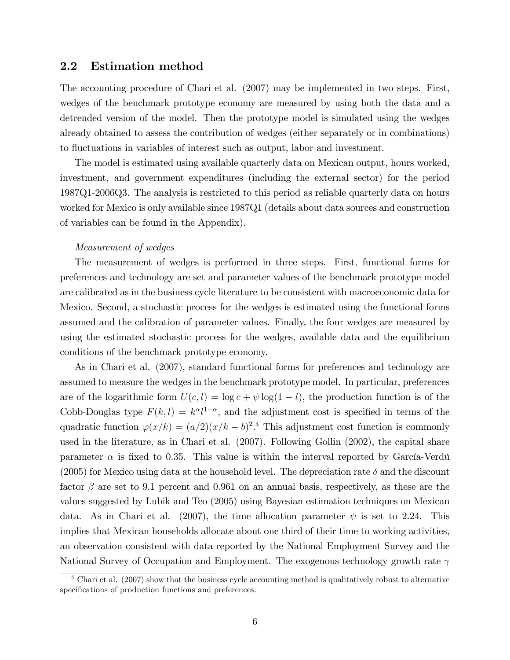## 2.2 Estimation method

The accounting procedure of Chari et al. (2007) may be implemented in two steps. First, wedges of the benchmark prototype economy are measured by using both the data and a detrended version of the model. Then the prototype model is simulated using the wedges already obtained to assess the contribution of wedges (either separately or in combinations) to áuctuations in variables of interest such as output, labor and investment.

The model is estimated using available quarterly data on Mexican output, hours worked, investment, and government expenditures (including the external sector) for the period 1987Q1-2006Q3. The analysis is restricted to this period as reliable quarterly data on hours worked for Mexico is only available since 1987Q1 (details about data sources and construction of variables can be found in the Appendix).

#### Measurement of wedges

The measurement of wedges is performed in three steps. First, functional forms for preferences and technology are set and parameter values of the benchmark prototype model are calibrated as in the business cycle literature to be consistent with macroeconomic data for Mexico. Second, a stochastic process for the wedges is estimated using the functional forms assumed and the calibration of parameter values. Finally, the four wedges are measured by using the estimated stochastic process for the wedges, available data and the equilibrium conditions of the benchmark prototype economy.

As in Chari et al. (2007), standard functional forms for preferences and technology are assumed to measure the wedges in the benchmark prototype model. In particular, preferences are of the logarithmic form  $U(c, l) = \log c + \psi \log(1 - l)$ , the production function is of the Cobb-Douglas type  $F(k, l) = k^{\alpha}l^{1-\alpha}$ , and the adjustment cost is specified in terms of the quadratic function  $\varphi(x/k) = (a/2)(x/k - b)^2$ .<sup>4</sup> This adjustment cost function is commonly used in the literature, as in Chari et al. (2007). Following Gollin (2002), the capital share parameter  $\alpha$  is fixed to 0.35. This value is within the interval reported by García-Verdú (2005) for Mexico using data at the household level. The depreciation rate  $\delta$  and the discount factor  $\beta$  are set to 9.1 percent and 0.961 on an annual basis, respectively, as these are the values suggested by Lubik and Teo (2005) using Bayesian estimation techniques on Mexican data. As in Chari et al. (2007), the time allocation parameter  $\psi$  is set to 2.24. This implies that Mexican households allocate about one third of their time to working activities, an observation consistent with data reported by the National Employment Survey and the National Survey of Occupation and Employment. The exogenous technology growth rate  $\gamma$ 

<sup>4</sup> Chari et al. (2007) show that the business cycle accounting method is qualitatively robust to alternative specifications of production functions and preferences.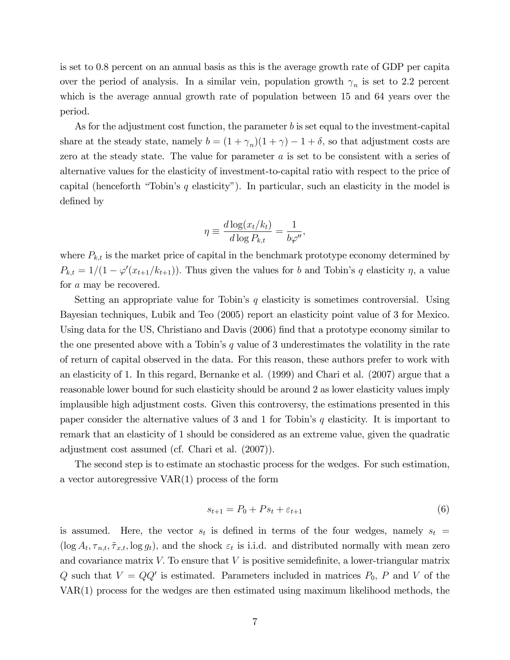is set to 0.8 percent on an annual basis as this is the average growth rate of GDP per capita over the period of analysis. In a similar vein, population growth  $\gamma_n$  is set to 2.2 percent which is the average annual growth rate of population between 15 and 64 years over the period.

As for the adjustment cost function, the parameter b is set equal to the investment-capital share at the steady state, namely  $b = (1 + \gamma_n)(1 + \gamma) - 1 + \delta$ , so that adjustment costs are zero at the steady state. The value for parameter a is set to be consistent with a series of alternative values for the elasticity of investment-to-capital ratio with respect to the price of capital (henceforth "Tobin's q elasticity"). In particular, such an elasticity in the model is defined by

$$
\eta \equiv \frac{d \log(x_t/k_t)}{d \log P_{k,t}} = \frac{1}{b\varphi''},
$$

where  $P_{k,t}$  is the market price of capital in the benchmark prototype economy determined by  $P_{k,t} = 1/(1 - \varphi'(x_{t+1}/k_{t+1}))$ . Thus given the values for b and Tobin's q elasticity  $\eta$ , a value for a may be recovered.

Setting an appropriate value for Tobin's  $q$  elasticity is sometimes controversial. Using Bayesian techniques, Lubik and Teo (2005) report an elasticity point value of 3 for Mexico. Using data for the US, Christiano and Davis (2006) find that a prototype economy similar to the one presented above with a Tobin's  $q$  value of 3 underestimates the volatility in the rate of return of capital observed in the data. For this reason, these authors prefer to work with an elasticity of 1. In this regard, Bernanke et al. (1999) and Chari et al. (2007) argue that a reasonable lower bound for such elasticity should be around 2 as lower elasticity values imply implausible high adjustment costs. Given this controversy, the estimations presented in this paper consider the alternative values of 3 and 1 for Tobin's  $q$  elasticity. It is important to remark that an elasticity of 1 should be considered as an extreme value, given the quadratic adjustment cost assumed (cf. Chari et al. (2007)).

The second step is to estimate an stochastic process for the wedges. For such estimation, a vector autoregressive VAR(1) process of the form

$$
s_{t+1} = P_0 + Ps_t + \varepsilon_{t+1} \tag{6}
$$

is assumed. Here, the vector  $s_t$  is defined in terms of the four wedges, namely  $s_t =$  $(\log A_t, \tau_{n,t}, \tilde{\tau}_{x,t}, \log g_t)$ , and the shock  $\varepsilon_t$  is i.i.d. and distributed normally with mean zero and covariance matrix  $V$ . To ensure that  $V$  is positive semidefinite, a lower-triangular matrix Q such that  $V = QQ'$  is estimated. Parameters included in matrices  $P_0$ , P and V of the VAR(1) process for the wedges are then estimated using maximum likelihood methods, the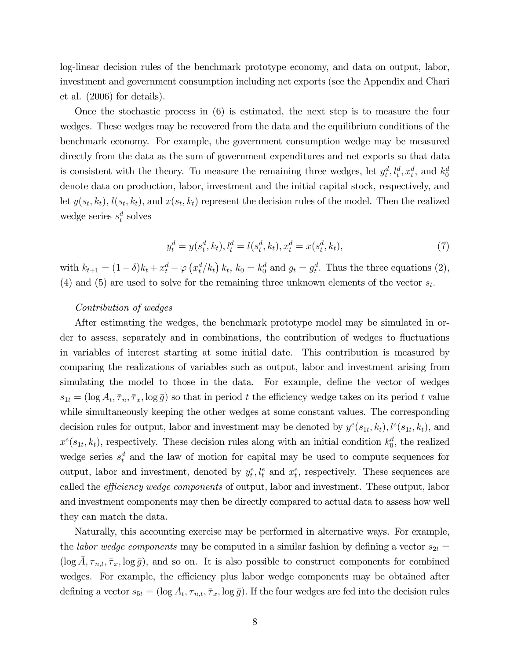log-linear decision rules of the benchmark prototype economy, and data on output, labor, investment and government consumption including net exports (see the Appendix and Chari et al. (2006) for details).

Once the stochastic process in (6) is estimated, the next step is to measure the four wedges. These wedges may be recovered from the data and the equilibrium conditions of the benchmark economy. For example, the government consumption wedge may be measured directly from the data as the sum of government expenditures and net exports so that data is consistent with the theory. To measure the remaining three wedges, let  $y_t^d, l_t^d, x_t^d$ , and  $k_0^d$ denote data on production, labor, investment and the initial capital stock, respectively, and let  $y(s_t, k_t)$ ,  $l(s_t, k_t)$ , and  $x(s_t, k_t)$  represent the decision rules of the model. Then the realized wedge series  $s_t^d$  solves

$$
y_t^d = y(s_t^d, k_t), l_t^d = l(s_t^d, k_t), x_t^d = x(s_t^d, k_t),
$$
\n(7)

with  $k_{t+1} = (1 - \delta)k_t + x_t^d - \varphi(x_t^d/k_t) k_t$ ,  $k_0 = k_0^d$  and  $g_t = g_t^d$ . Thus the three equations (2), (4) and (5) are used to solve for the remaining three unknown elements of the vector  $s_t$ .

#### Contribution of wedges

After estimating the wedges, the benchmark prototype model may be simulated in order to assess, separately and in combinations, the contribution of wedges to fluctuations in variables of interest starting at some initial date. This contribution is measured by comparing the realizations of variables such as output, labor and investment arising from simulating the model to those in the data. For example, define the vector of wedges  $s_{1t} = (\log A_t, \overline{\tau}_n, \overline{\tau}_x, \log \overline{g})$  so that in period t the efficiency wedge takes on its period t value while simultaneously keeping the other wedges at some constant values. The corresponding decision rules for output, labor and investment may be denoted by  $y^{e}(s_{1t}, k_{t}), l^{e}(s_{1t}, k_{t}),$  and  $x^e(s_{1t}, k_t)$ , respectively. These decision rules along with an initial condition  $k_0^d$ , the realized wedge series  $s_t^d$  and the law of motion for capital may be used to compute sequences for output, labor and investment, denoted by  $y_t^e, l_t^e$  and  $x_t^e$ , respectively. These sequences are called the *efficiency wedge components* of output, labor and investment. These output, labor and investment components may then be directly compared to actual data to assess how well they can match the data.

Naturally, this accounting exercise may be performed in alternative ways. For example, the *labor wedge components* may be computed in a similar fashion by defining a vector  $s_{2t} =$  $(\log \bar{A}, \tau_{n,t}, \bar{\tau}_x, \log \bar{g})$ , and so on. It is also possible to construct components for combined wedges. For example, the efficiency plus labor wedge components may be obtained after defining a vector  $s_{5t} = (\log A_t, \tau_{n,t}, \bar{\tau}_x, \log \bar{g})$ . If the four wedges are fed into the decision rules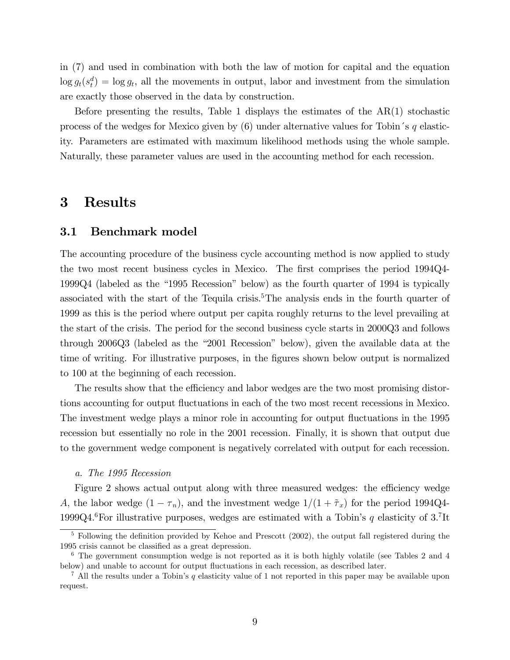in (7) and used in combination with both the law of motion for capital and the equation  $\log g_t(s_t^d) = \log g_t$ , all the movements in output, labor and investment from the simulation are exactly those observed in the data by construction.

Before presenting the results, Table 1 displays the estimates of the AR(1) stochastic process of the wedges for Mexico given by  $(6)$  under alternative values for Tobin's q elasticity. Parameters are estimated with maximum likelihood methods using the whole sample. Naturally, these parameter values are used in the accounting method for each recession.

## 3 Results

### 3.1 Benchmark model

The accounting procedure of the business cycle accounting method is now applied to study the two most recent business cycles in Mexico. The first comprises the period 1994Q4-1999Q4 (labeled as the "1995 Recession" below) as the fourth quarter of 1994 is typically associated with the start of the Tequila crisis.<sup>5</sup>The analysis ends in the fourth quarter of 1999 as this is the period where output per capita roughly returns to the level prevailing at the start of the crisis. The period for the second business cycle starts in 2000Q3 and follows through  $2006Q3$  (labeled as the "2001 Recession" below), given the available data at the time of writing. For illustrative purposes, in the figures shown below output is normalized to 100 at the beginning of each recession.

The results show that the efficiency and labor wedges are the two most promising distortions accounting for output fluctuations in each of the two most recent recessions in Mexico. The investment wedge plays a minor role in accounting for output fluctuations in the 1995 recession but essentially no role in the 2001 recession. Finally, it is shown that output due to the government wedge component is negatively correlated with output for each recession.

#### a. The 1995 Recession

Figure 2 shows actual output along with three measured wedges: the efficiency wedge A, the labor wedge  $(1 - \tau_n)$ , and the investment wedge  $1/(1 + \tilde{\tau}_x)$  for the period 1994Q4-1999Q4.<sup>6</sup>For illustrative purposes, wedges are estimated with a Tobin's q elasticity of  $3.7$ It

 $5$  Following the definition provided by Kehoe and Prescott (2002), the output fall registered during the 1995 crisis cannot be classified as a great depression.

<sup>&</sup>lt;sup>6</sup> The government consumption wedge is not reported as it is both highly volatile (see Tables 2 and 4 below) and unable to account for output fluctuations in each recession, as described later.

<sup>&</sup>lt;sup>7</sup> All the results under a Tobin's q elasticity value of 1 not reported in this paper may be available upon request.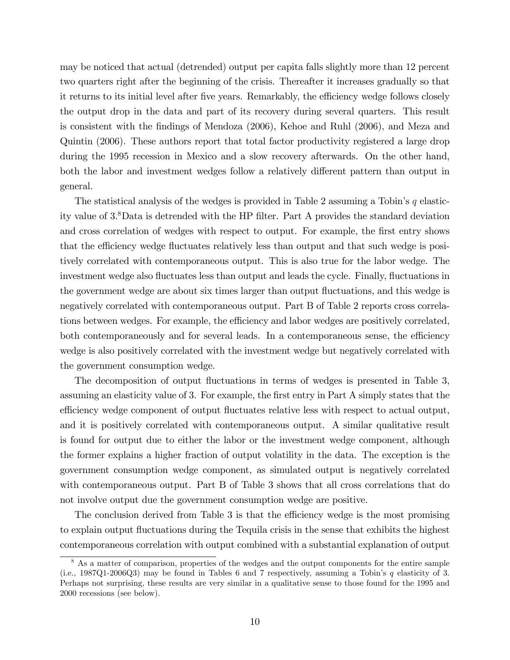may be noticed that actual (detrended) output per capita falls slightly more than 12 percent two quarters right after the beginning of the crisis. Thereafter it increases gradually so that it returns to its initial level after five years. Remarkably, the efficiency wedge follows closely the output drop in the data and part of its recovery during several quarters. This result is consistent with the Öndings of Mendoza (2006), Kehoe and Ruhl (2006), and Meza and Quintin (2006). These authors report that total factor productivity registered a large drop during the 1995 recession in Mexico and a slow recovery afterwards. On the other hand, both the labor and investment wedges follow a relatively different pattern than output in general.

The statistical analysis of the wedges is provided in Table 2 assuming a Tobin's  $q$  elasticity value of 3.<sup>8</sup>Data is detrended with the HP filter. Part A provides the standard deviation and cross correlation of wedges with respect to output. For example, the first entry shows that the efficiency wedge fluctuates relatively less than output and that such wedge is positively correlated with contemporaneous output. This is also true for the labor wedge. The investment wedge also fluctuates less than output and leads the cycle. Finally, fluctuations in the government wedge are about six times larger than output fluctuations, and this wedge is negatively correlated with contemporaneous output. Part B of Table 2 reports cross correlations between wedges. For example, the efficiency and labor wedges are positively correlated, both contemporaneously and for several leads. In a contemporaneous sense, the efficiency wedge is also positively correlated with the investment wedge but negatively correlated with the government consumption wedge.

The decomposition of output fluctuations in terms of wedges is presented in Table 3, assuming an elasticity value of 3. For example, the first entry in Part A simply states that the efficiency wedge component of output fluctuates relative less with respect to actual output, and it is positively correlated with contemporaneous output. A similar qualitative result is found for output due to either the labor or the investment wedge component, although the former explains a higher fraction of output volatility in the data. The exception is the government consumption wedge component, as simulated output is negatively correlated with contemporaneous output. Part B of Table 3 shows that all cross correlations that do not involve output due the government consumption wedge are positive.

The conclusion derived from Table 3 is that the efficiency wedge is the most promising to explain output fluctuations during the Tequila crisis in the sense that exhibits the highest contemporaneous correlation with output combined with a substantial explanation of output

<sup>&</sup>lt;sup>8</sup> As a matter of comparison, properties of the wedges and the output components for the entire sample (i.e., 1987Q1-2006Q3) may be found in Tables 6 and 7 respectively, assuming a Tobin's  $q$  elasticity of 3. Perhaps not surprising, these results are very similar in a qualitative sense to those found for the 1995 and 2000 recessions (see below).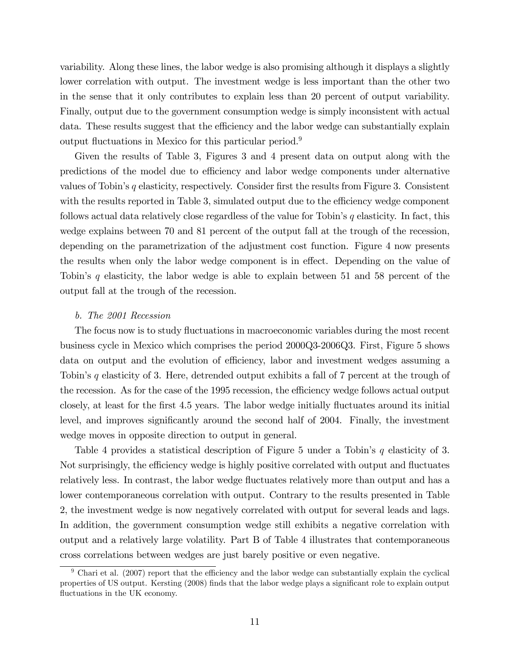variability. Along these lines, the labor wedge is also promising although it displays a slightly lower correlation with output. The investment wedge is less important than the other two in the sense that it only contributes to explain less than 20 percent of output variability. Finally, output due to the government consumption wedge is simply inconsistent with actual data. These results suggest that the efficiency and the labor wedge can substantially explain output fluctuations in Mexico for this particular period.<sup>9</sup>

Given the results of Table 3, Figures 3 and 4 present data on output along with the predictions of the model due to efficiency and labor wedge components under alternative values of Tobin's q elasticity, respectively. Consider first the results from Figure 3. Consistent with the results reported in Table 3, simulated output due to the efficiency wedge component follows actual data relatively close regardless of the value for Tobin's  $q$  elasticity. In fact, this wedge explains between 70 and 81 percent of the output fall at the trough of the recession, depending on the parametrization of the adjustment cost function. Figure 4 now presents the results when only the labor wedge component is in effect. Depending on the value of Tobinís q elasticity, the labor wedge is able to explain between 51 and 58 percent of the output fall at the trough of the recession.

#### b. The 2001 Recession

The focus now is to study fluctuations in macroeconomic variables during the most recent business cycle in Mexico which comprises the period 2000Q3-2006Q3. First, Figure 5 shows data on output and the evolution of efficiency, labor and investment wedges assuming a Tobin's  $q$  elasticity of 3. Here, detrended output exhibits a fall of 7 percent at the trough of the recession. As for the case of the 1995 recession, the efficiency wedge follows actual output closely, at least for the Örst 4.5 years. The labor wedge initially áuctuates around its initial level, and improves significantly around the second half of 2004. Finally, the investment wedge moves in opposite direction to output in general.

Table 4 provides a statistical description of Figure 5 under a Tobin's  $q$  elasticity of 3. Not surprisingly, the efficiency wedge is highly positive correlated with output and fluctuates relatively less. In contrast, the labor wedge fluctuates relatively more than output and has a lower contemporaneous correlation with output. Contrary to the results presented in Table 2, the investment wedge is now negatively correlated with output for several leads and lags. In addition, the government consumption wedge still exhibits a negative correlation with output and a relatively large volatility. Part B of Table 4 illustrates that contemporaneous cross correlations between wedges are just barely positive or even negative.

 $9$  Chari et al. (2007) report that the efficiency and the labor wedge can substantially explain the cyclical properties of US output. Kersting (2008) finds that the labor wedge plays a significant role to explain output fluctuations in the UK economy.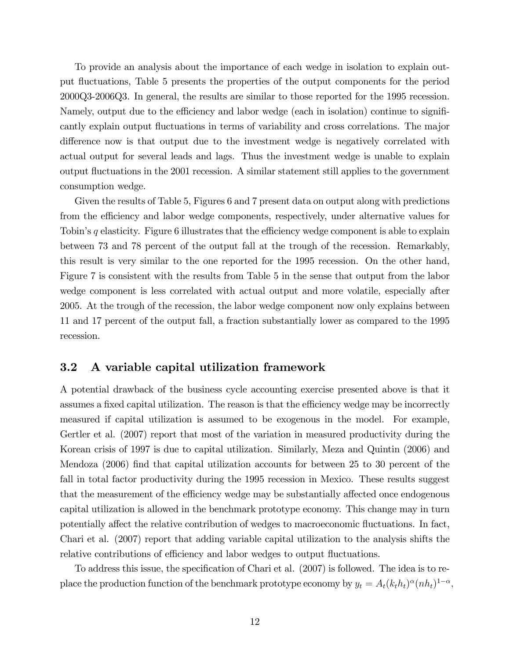To provide an analysis about the importance of each wedge in isolation to explain output fluctuations, Table 5 presents the properties of the output components for the period 2000Q3-2006Q3. In general, the results are similar to those reported for the 1995 recession. Namely, output due to the efficiency and labor wedge (each in isolation) continue to significantly explain output fluctuations in terms of variability and cross correlations. The major difference now is that output due to the investment wedge is negatively correlated with actual output for several leads and lags. Thus the investment wedge is unable to explain output áuctuations in the 2001 recession. A similar statement still applies to the government consumption wedge.

Given the results of Table 5, Figures 6 and 7 present data on output along with predictions from the efficiency and labor wedge components, respectively, under alternative values for Tobin's q elasticity. Figure 6 illustrates that the efficiency wedge component is able to explain between 73 and 78 percent of the output fall at the trough of the recession. Remarkably, this result is very similar to the one reported for the 1995 recession. On the other hand, Figure 7 is consistent with the results from Table 5 in the sense that output from the labor wedge component is less correlated with actual output and more volatile, especially after 2005. At the trough of the recession, the labor wedge component now only explains between 11 and 17 percent of the output fall, a fraction substantially lower as compared to the 1995 recession.

## 3.2 A variable capital utilization framework

A potential drawback of the business cycle accounting exercise presented above is that it assumes a fixed capital utilization. The reason is that the efficiency wedge may be incorrectly measured if capital utilization is assumed to be exogenous in the model. For example, Gertler et al. (2007) report that most of the variation in measured productivity during the Korean crisis of 1997 is due to capital utilization. Similarly, Meza and Quintin (2006) and Mendoza (2006) find that capital utilization accounts for between 25 to 30 percent of the fall in total factor productivity during the 1995 recession in Mexico. These results suggest that the measurement of the efficiency wedge may be substantially affected once endogenous capital utilization is allowed in the benchmark prototype economy. This change may in turn potentially affect the relative contribution of wedges to macroeconomic fluctuations. In fact, Chari et al. (2007) report that adding variable capital utilization to the analysis shifts the relative contributions of efficiency and labor wedges to output fluctuations.

To address this issue, the specification of Chari et al. (2007) is followed. The idea is to replace the production function of the benchmark prototype economy by  $y_t = A_t(k_t h_t)^{\alpha} (nh_t)^{1-\alpha}$ ,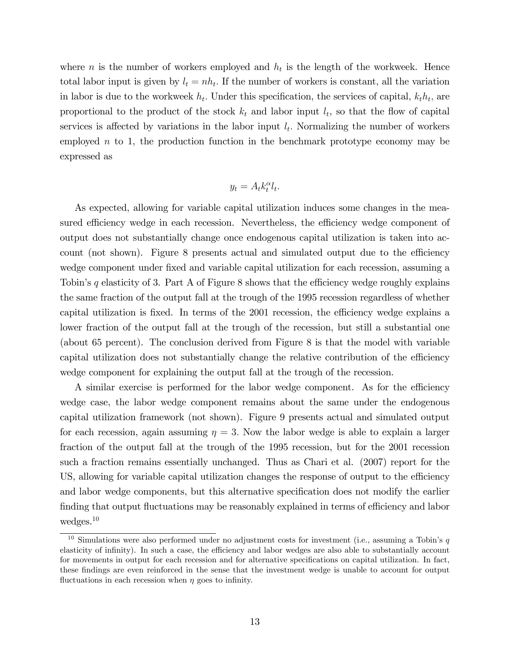where *n* is the number of workers employed and  $h_t$  is the length of the workweek. Hence total labor input is given by  $l_t = nh_t$ . If the number of workers is constant, all the variation in labor is due to the workweek  $h_t$ . Under this specification, the services of capital,  $k_t h_t$ , are proportional to the product of the stock  $k_t$  and labor input  $l_t$ , so that the flow of capital services is affected by variations in the labor input  $l_t$ . Normalizing the number of workers employed  $n$  to 1, the production function in the benchmark prototype economy may be expressed as

$$
y_t = A_t k_t^{\alpha} l_t.
$$

As expected, allowing for variable capital utilization induces some changes in the measured efficiency wedge in each recession. Nevertheless, the efficiency wedge component of output does not substantially change once endogenous capital utilization is taken into account (not shown). Figure 8 presents actual and simulated output due to the efficiency wedge component under fixed and variable capital utilization for each recession, assuming a Tobin's q elasticity of 3. Part A of Figure 8 shows that the efficiency wedge roughly explains the same fraction of the output fall at the trough of the 1995 recession regardless of whether capital utilization is fixed. In terms of the 2001 recession, the efficiency wedge explains a lower fraction of the output fall at the trough of the recession, but still a substantial one (about 65 percent). The conclusion derived from Figure 8 is that the model with variable capital utilization does not substantially change the relative contribution of the efficiency wedge component for explaining the output fall at the trough of the recession.

A similar exercise is performed for the labor wedge component. As for the efficiency wedge case, the labor wedge component remains about the same under the endogenous capital utilization framework (not shown). Figure 9 presents actual and simulated output for each recession, again assuming  $\eta = 3$ . Now the labor wedge is able to explain a larger fraction of the output fall at the trough of the 1995 recession, but for the 2001 recession such a fraction remains essentially unchanged. Thus as Chari et al. (2007) report for the US, allowing for variable capital utilization changes the response of output to the efficiency and labor wedge components, but this alternative specification does not modify the earlier finding that output fluctuations may be reasonably explained in terms of efficiency and labor wedges.<sup>10</sup>

<sup>&</sup>lt;sup>10</sup> Simulations were also performed under no adjustment costs for investment (i.e., assuming a Tobin's  $q$ elasticity of infinity). In such a case, the efficiency and labor wedges are also able to substantially account for movements in output for each recession and for alternative specifications on capital utilization. In fact, these Öndings are even reinforced in the sense that the investment wedge is unable to account for output fluctuations in each recession when  $\eta$  goes to infinity.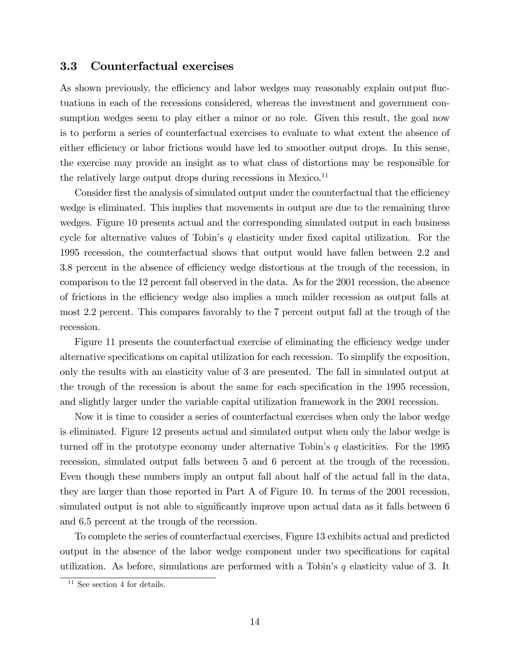## 3.3 Counterfactual exercises

As shown previously, the efficiency and labor wedges may reasonably explain output fluctuations in each of the recessions considered, whereas the investment and government consumption wedges seem to play either a minor or no role. Given this result, the goal now is to perform a series of counterfactual exercises to evaluate to what extent the absence of either efficiency or labor frictions would have led to smoother output drops. In this sense, the exercise may provide an insight as to what class of distortions may be responsible for the relatively large output drops during recessions in Mexico.<sup>11</sup>

Consider first the analysis of simulated output under the counterfactual that the efficiency wedge is eliminated. This implies that movements in output are due to the remaining three wedges. Figure 10 presents actual and the corresponding simulated output in each business cycle for alternative values of Tobin's  $q$  elasticity under fixed capital utilization. For the 1995 recession, the counterfactual shows that output would have fallen between 2.2 and 3.8 percent in the absence of efficiency wedge distortions at the trough of the recession, in comparison to the 12 percent fall observed in the data. As for the 2001 recession, the absence of frictions in the efficiency wedge also implies a much milder recession as output falls at most 2.2 percent. This compares favorably to the 7 percent output fall at the trough of the recession.

Figure 11 presents the counterfactual exercise of eliminating the efficiency wedge under alternative specifications on capital utilization for each recession. To simplify the exposition, only the results with an elasticity value of 3 are presented. The fall in simulated output at the trough of the recession is about the same for each specification in the 1995 recession, and slightly larger under the variable capital utilization framework in the 2001 recession.

Now it is time to consider a series of counterfactual exercises when only the labor wedge is eliminated. Figure 12 presents actual and simulated output when only the labor wedge is turned of in the prototype economy under alternative Tobin's  $q$  elasticities. For the 1995 recession, simulated output falls between 5 and 6 percent at the trough of the recession. Even though these numbers imply an output fall about half of the actual fall in the data, they are larger than those reported in Part A of Figure 10. In terms of the 2001 recession, simulated output is not able to significantly improve upon actual data as it falls between 6 and 6.5 percent at the trough of the recession.

To complete the series of counterfactual exercises, Figure 13 exhibits actual and predicted output in the absence of the labor wedge component under two specifications for capital utilization. As before, simulations are performed with a Tobin's  $q$  elasticity value of 3. It

<sup>11</sup> See section 4 for details.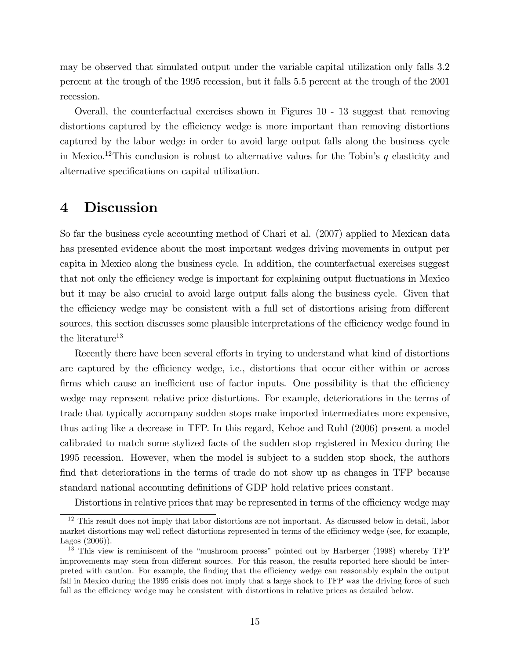may be observed that simulated output under the variable capital utilization only falls 3.2 percent at the trough of the 1995 recession, but it falls 5.5 percent at the trough of the 2001 recession.

Overall, the counterfactual exercises shown in Figures 10 - 13 suggest that removing distortions captured by the efficiency wedge is more important than removing distortions captured by the labor wedge in order to avoid large output falls along the business cycle in Mexico.<sup>12</sup>This conclusion is robust to alternative values for the Tobin's q elasticity and alternative specifications on capital utilization.

## 4 Discussion

So far the business cycle accounting method of Chari et al. (2007) applied to Mexican data has presented evidence about the most important wedges driving movements in output per capita in Mexico along the business cycle. In addition, the counterfactual exercises suggest that not only the efficiency wedge is important for explaining output fluctuations in Mexico but it may be also crucial to avoid large output falls along the business cycle. Given that the efficiency wedge may be consistent with a full set of distortions arising from different sources, this section discusses some plausible interpretations of the efficiency wedge found in the literature<sup>13</sup>

Recently there have been several efforts in trying to understand what kind of distortions are captured by the efficiency wedge, i.e., distortions that occur either within or across firms which cause an inefficient use of factor inputs. One possibility is that the efficiency wedge may represent relative price distortions. For example, deteriorations in the terms of trade that typically accompany sudden stops make imported intermediates more expensive, thus acting like a decrease in TFP. In this regard, Kehoe and Ruhl (2006) present a model calibrated to match some stylized facts of the sudden stop registered in Mexico during the 1995 recession. However, when the model is subject to a sudden stop shock, the authors find that deteriorations in the terms of trade do not show up as changes in TFP because standard national accounting definitions of GDP hold relative prices constant.

Distortions in relative prices that may be represented in terms of the efficiency wedge may

<sup>&</sup>lt;sup>12</sup> This result does not imply that labor distortions are not important. As discussed below in detail, labor market distortions may well reflect distortions represented in terms of the efficiency wedge (see, for example, Lagos (2006)).

 $13$  This view is reminiscent of the "mushroom process" pointed out by Harberger (1998) whereby TFP improvements may stem from different sources. For this reason, the results reported here should be interpreted with caution. For example, the finding that the efficiency wedge can reasonably explain the output fall in Mexico during the 1995 crisis does not imply that a large shock to TFP was the driving force of such fall as the efficiency wedge may be consistent with distortions in relative prices as detailed below.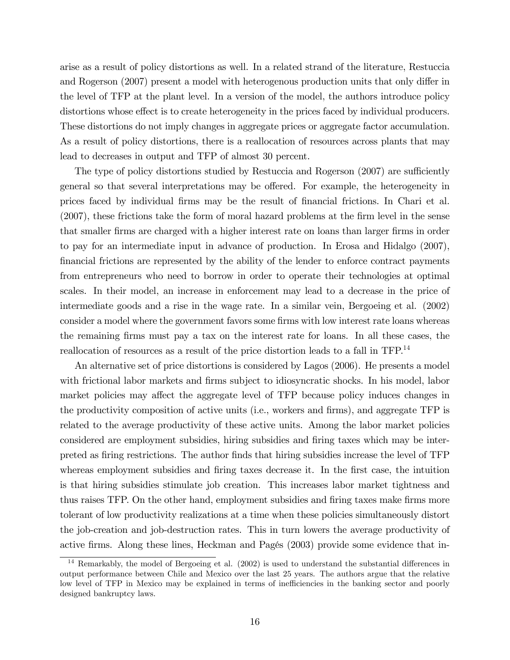arise as a result of policy distortions as well. In a related strand of the literature, Restuccia and Rogerson (2007) present a model with heterogenous production units that only differ in the level of TFP at the plant level. In a version of the model, the authors introduce policy distortions whose effect is to create heterogeneity in the prices faced by individual producers. These distortions do not imply changes in aggregate prices or aggregate factor accumulation. As a result of policy distortions, there is a reallocation of resources across plants that may lead to decreases in output and TFP of almost 30 percent.

The type of policy distortions studied by Restuccia and Rogerson (2007) are sufficiently general so that several interpretations may be offered. For example, the heterogeneity in prices faced by individual Örms may be the result of Önancial frictions. In Chari et al.  $(2007)$ , these frictions take the form of moral hazard problems at the firm level in the sense that smaller firms are charged with a higher interest rate on loans than larger firms in order to pay for an intermediate input in advance of production. In Erosa and Hidalgo (2007), financial frictions are represented by the ability of the lender to enforce contract payments from entrepreneurs who need to borrow in order to operate their technologies at optimal scales. In their model, an increase in enforcement may lead to a decrease in the price of intermediate goods and a rise in the wage rate. In a similar vein, Bergoeing et al. (2002) consider a model where the government favors some firms with low interest rate loans whereas the remaining Örms must pay a tax on the interest rate for loans. In all these cases, the reallocation of resources as a result of the price distortion leads to a fall in TFP.<sup>14</sup>

An alternative set of price distortions is considered by Lagos (2006). He presents a model with frictional labor markets and firms subject to idiosyncratic shocks. In his model, labor market policies may affect the aggregate level of TFP because policy induces changes in the productivity composition of active units (i.e., workers and firms), and aggregate TFP is related to the average productivity of these active units. Among the labor market policies considered are employment subsidies, hiring subsidies and firing taxes which may be interpreted as Öring restrictions. The author Önds that hiring subsidies increase the level of TFP whereas employment subsidies and firing taxes decrease it. In the first case, the intuition is that hiring subsidies stimulate job creation. This increases labor market tightness and thus raises TFP. On the other hand, employment subsidies and firing taxes make firms more tolerant of low productivity realizations at a time when these policies simultaneously distort the job-creation and job-destruction rates. This in turn lowers the average productivity of active firms. Along these lines, Heckman and Pagés (2003) provide some evidence that in-

<sup>&</sup>lt;sup>14</sup> Remarkably, the model of Bergoeing et al.  $(2002)$  is used to understand the substantial differences in output performance between Chile and Mexico over the last 25 years. The authors argue that the relative low level of TFP in Mexico may be explained in terms of inefficiencies in the banking sector and poorly designed bankruptcy laws.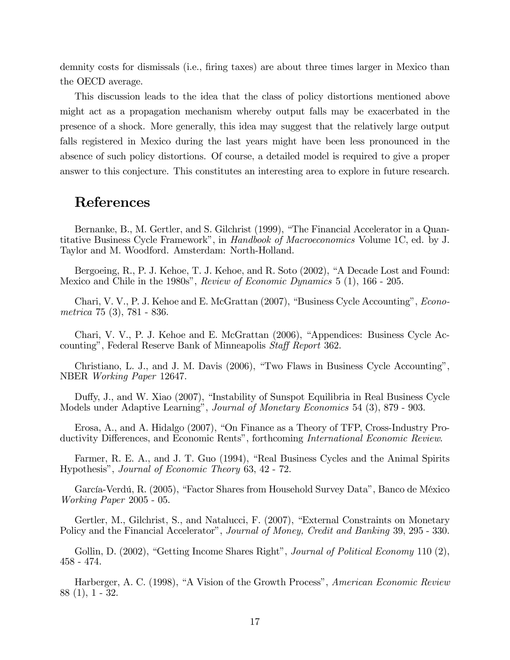demnity costs for dismissals (i.e., firing taxes) are about three times larger in Mexico than the OECD average.

This discussion leads to the idea that the class of policy distortions mentioned above might act as a propagation mechanism whereby output falls may be exacerbated in the presence of a shock. More generally, this idea may suggest that the relatively large output falls registered in Mexico during the last years might have been less pronounced in the absence of such policy distortions. Of course, a detailed model is required to give a proper answer to this conjecture. This constitutes an interesting area to explore in future research.

## References

Bernanke, B., M. Gertler, and S. Gilchrist (1999), "The Financial Accelerator in a Quantitative Business Cycle Framework", in Handbook of Macroeconomics Volume 1C, ed. by J. Taylor and M. Woodford. Amsterdam: North-Holland.

Bergoeing, R., P. J. Kehoe, T. J. Kehoe, and R. Soto (2002), "A Decade Lost and Found: Mexico and Chile in the 1980s", Review of Economic Dynamics 5 (1), 166 - 205.

Chari, V. V., P. J. Kehoe and E. McGrattan (2007), "Business Cycle Accounting", *Econo*metrica 75 (3), 781 - 836.

Chari, V. V., P. J. Kehoe and E. McGrattan  $(2006)$ , "Appendices: Business Cycle Accounting", Federal Reserve Bank of Minneapolis Staff Report 362.

Christiano, L. J., and J. M. Davis (2006), "Two Flaws in Business Cycle Accounting", NBER Working Paper 12647.

Duffy, J., and W. Xiao (2007), "Instability of Sunspot Equilibria in Real Business Cycle Models under Adaptive Learning", Journal of Monetary Economics 54 (3), 879 - 903.

Erosa, A., and A. Hidalgo  $(2007)$ , "On Finance as a Theory of TFP, Cross-Industry Productivity Differences, and Economic Rents", forthcoming International Economic Review.

Farmer, R. E. A., and J. T. Guo (1994), "Real Business Cycles and the Animal Spirits Hypothesisî, Journal of Economic Theory 63, 42 - 72.

García-Verdú, R. (2005), "Factor Shares from Household Survey Data", Banco de México Working Paper 2005 - 05.

Gertler, M., Gilchrist, S., and Natalucci, F. (2007), "External Constraints on Monetary Policy and the Financial Accelerator", Journal of Money, Credit and Banking 39, 295 - 330.

Gollin, D. (2002), "Getting Income Shares Right", Journal of Political Economy 110 (2), 458 - 474.

Harberger, A. C. (1998), "A Vision of the Growth Process", *American Economic Review* 88 (1), 1 - 32.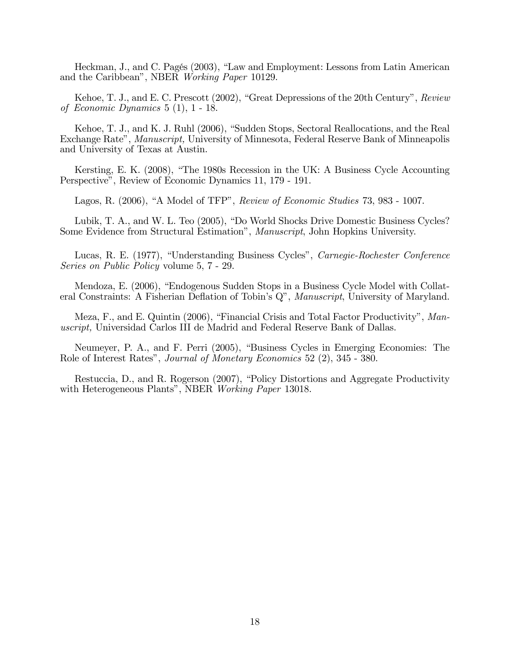Heckman, J., and C. Pagés (2003), "Law and Employment: Lessons from Latin American and the Caribbean", NBER Working Paper 10129.

Kehoe, T. J., and E. C. Prescott  $(2002)$ , "Great Depressions of the 20th Century", Review of Economic Dynamics 5 (1), 1 - 18.

Kehoe, T. J., and K. J. Ruhl (2006), "Sudden Stops, Sectoral Reallocations, and the Real Exchange Rate", *Manuscript*, University of Minnesota, Federal Reserve Bank of Minneapolis and University of Texas at Austin.

Kersting, E. K. (2008), "The 1980s Recession in the UK: A Business Cycle Accounting Perspectiveî, Review of Economic Dynamics 11, 179 - 191.

Lagos, R.  $(2006)$ , "A Model of TFP", Review of Economic Studies 73, 983 - 1007.

Lubik, T. A., and W. L. Teo (2005), "Do World Shocks Drive Domestic Business Cycles? Some Evidence from Structural Estimationî, Manuscript, John Hopkins University.

Lucas, R. E. (1977), "Understanding Business Cycles", Carnegie-Rochester Conference Series on Public Policy volume 5, 7 - 29.

Mendoza, E. (2006), "Endogenous Sudden Stops in a Business Cycle Model with Collateral Constraints: A Fisherian Deflation of Tobin's  $Q$ ", *Manuscript*, University of Maryland.

Meza, F., and E. Quintin (2006), "Financial Crisis and Total Factor Productivity", Manuscript, Universidad Carlos III de Madrid and Federal Reserve Bank of Dallas.

Neumeyer, P. A., and F. Perri (2005), "Business Cycles in Emerging Economies: The Role of Interest Ratesî, Journal of Monetary Economics 52 (2), 345 - 380.

Restuccia, D., and R. Rogerson (2007), "Policy Distortions and Aggregate Productivity with Heterogeneous Plants", NBER Working Paper 13018.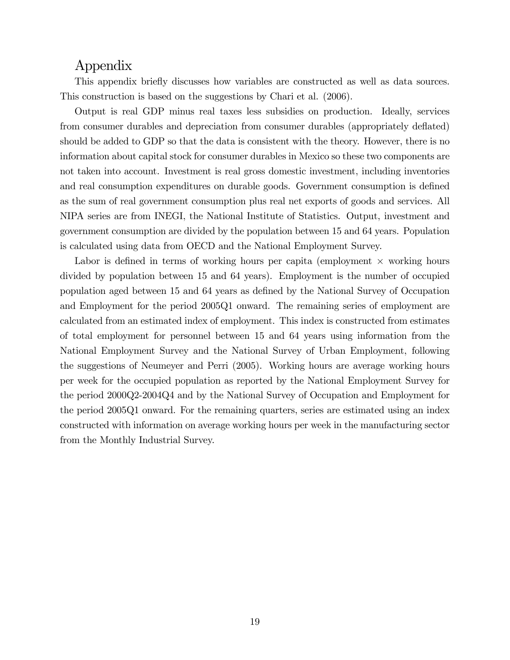## Appendix

This appendix briefly discusses how variables are constructed as well as data sources. This construction is based on the suggestions by Chari et al. (2006).

Output is real GDP minus real taxes less subsidies on production. Ideally, services from consumer durables and depreciation from consumer durables (appropriately deflated) should be added to GDP so that the data is consistent with the theory. However, there is no information about capital stock for consumer durables in Mexico so these two components are not taken into account. Investment is real gross domestic investment, including inventories and real consumption expenditures on durable goods. Government consumption is defined as the sum of real government consumption plus real net exports of goods and services. All NIPA series are from INEGI, the National Institute of Statistics. Output, investment and government consumption are divided by the population between 15 and 64 years. Population is calculated using data from OECD and the National Employment Survey.

Labor is defined in terms of working hours per capita (employment  $\times$  working hours divided by population between 15 and 64 years). Employment is the number of occupied population aged between 15 and 64 years as defined by the National Survey of Occupation and Employment for the period 2005Q1 onward. The remaining series of employment are calculated from an estimated index of employment. This index is constructed from estimates of total employment for personnel between 15 and 64 years using information from the National Employment Survey and the National Survey of Urban Employment, following the suggestions of Neumeyer and Perri (2005). Working hours are average working hours per week for the occupied population as reported by the National Employment Survey for the period 2000Q2-2004Q4 and by the National Survey of Occupation and Employment for the period 2005Q1 onward. For the remaining quarters, series are estimated using an index constructed with information on average working hours per week in the manufacturing sector from the Monthly Industrial Survey.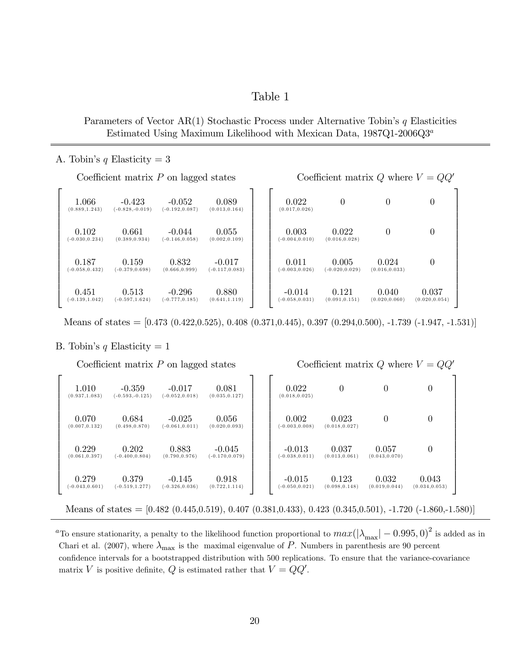## Table 1

Parameters of Vector  $AR(1)$  Stochastic Process under Alternative Tobin's q Elasticities Estimated Using Maximum Likelihood with Mexican Data,  $1987Q1-2006Q3^a$ 

### A. Tobin's q Elasticity  $= 3$

| Coefficient matrix $P$ on lagged states |                               |                               |                               |  | Coefficient matrix Q where $V = QQ'$ |                            |                         |                         |  |
|-----------------------------------------|-------------------------------|-------------------------------|-------------------------------|--|--------------------------------------|----------------------------|-------------------------|-------------------------|--|
| 1.066<br>(0.889, 1.243)                 | $-0.423$<br>$(-0.828,-0.019)$ | $-0.052$<br>$(-0.192, 0.087)$ | 0.089<br>(0.013, 0.164)       |  | 0.022<br>(0.017, 0.026)              | $\overline{0}$             | $\theta$                | $\left( \right)$        |  |
| 0.102<br>$(-0.030, 0.234)$              | 0.661<br>(0.389, 0.934)       | $-0.044$<br>$(-0.146, 0.058)$ | 0.055<br>(0.002, 0.109)       |  | 0.003<br>$(-0.004, 0.010)$           | 0.022<br>(0.016, 0.028)    | 0                       | 0                       |  |
| 0.187<br>$(-0.058, 0.432)$              | 0.159<br>$(-0.379, 0.698)$    | 0.832<br>(0.666, 0.999)       | $-0.017$<br>$(-0.117, 0.083)$ |  | 0.011<br>$(-0.003, 0.026)$           | 0.005<br>$(-0.020, 0.029)$ | 0.024<br>(0.016, 0.033) | $\theta$                |  |
| 0.451<br>$(-0.139, 1.042)$              | 0.513<br>$(-0.597, 1.624)$    | $-0.296$<br>$(-0.777, 0.185)$ | 0.880<br>(0.641, 1.119)       |  | $-0.014$<br>$(-0.058, 0.031)$        | 0.121<br>(0.091, 0.151)    | 0.040<br>(0.020, 0.060) | 0.037<br>(0.020, 0.054) |  |

Means of states =  $[0.473 \ (0.422, 0.525), 0.408 \ (0.371, 0.445), 0.397 \ (0.294, 0.500), -1.739 \ (-1.947, -1.531)]$ 

### B. Tobin's q Elasticity  $= 1$

Coefficient matrix P on lagged states Coefficient matrix Q where  $V = QQ<sup>o</sup>$  $\sqrt{2}$  $\overline{a}$  $\overline{a}$  $\left| \right|$  $\mathbf{I}$  $\overline{a}$  $\overline{a}$  $\overline{a}$  $\overline{a}$  $\overline{a}$  $\overline{a}$  $\left| \right|$  $\mathbf{I}$  $\overline{a}$  $\overline{1}$ 4  $1.010$   $-0.359$   $-0.017$   $0.081$ <br>  $(0.937,1.083)$   $(-0.593,-0.125)$   $(-0.052,0.018)$   $(0.035,0.127)$  $(-0.593,-0.125)$  $0.070$   $0.684$   $0.025$   $0.056$ <br>  $(0.007, 0.132)$   $(0.498, 0.870)$   $(-0.061, 0.011)$   $(0.020, 0.09)$  $(0.020, 0.093)$  $\frac{0.229}{(0.061.0.397)}$   $\frac{0.202}{(-0.400.0.804)}$   $\frac{0.883}{(0.790.0.976)}$   $\frac{-0.045}{(-0.170.0.075)}$  $(-0.170, 0.079)$  $\underset{(-0.043,0.601)}{0.279}$   $\underset{(-0.519,1.277)}{0.379}$   $\underset{(-0.326,0.036)}{0.145}$   $\underset{(0.722,1.114)}{0.918}$  $(-0.519,1.277)$ 3  $\overline{1}$  $\overline{1}$  $\perp$  $\mathbf{1}$  $\overline{1}$  $\overline{1}$  $\overline{1}$  $\overline{1}$  $\overline{1}$  $\overline{1}$  $\perp$  $\mathbf{1}$  $\overline{1}$  $\overline{1}$  $\overline{1}$  $\sqrt{2}$  $\overline{a}$  $\overline{a}$  $\left| \right|$  $\mathbf{I}$  $\overline{a}$  $\overline{a}$  $\overline{a}$  $\overline{a}$  $\overline{a}$  $\overline{a}$  $\left| \right|$  $\mathbf{I}$  $\overline{a}$  $\overline{a}$ 4  $0.022$  0 0 0  $(0.018, 0.025)$  $\begin{array}{ccc} 0.002 & 0.023 & 0 \\ 0.03, 0.008) & (0.018, 0.027) \end{array}$  0  $(-0.003,0.008)$  $-0.013$   $0.037$   $0.057$  0<br> $0.038, 0.011$   $(0.013, 0.061)$   $(0.043, 0.070)$  0  $(-0.038,0.011)$  $\hphantom{0}0.015\hphantom{0}0.123\hphantom{0}0.032\hphantom{0}0.043\hphantom{0}0.05$ <br>(0.031,0.021) (0.098,0.148) (0.019,0.044) (0.034,0.053)  $(-0.050, 0.021)$ 3  $\overline{1}$  $\overline{1}$  $\perp$  $\mathbf{1}$  $\overline{1}$  $\overline{1}$  $\overline{1}$  $\overline{1}$  $\overline{1}$  $\overline{1}$  $\perp$  $\mathbf{1}$  $\overline{1}$  $\overline{1}$  $\overline{1}$ 

Means of states =  $[0.482 \ (0.445, 0.519), 0.407 \ (0.381, 0.433), 0.423 \ (0.345, 0.501), -1.720 \ (-1.860, -1.580)]$ 

<sup>a</sup>To ensure stationarity, a penalty to the likelihood function proportional to  $max(|\lambda_{\text{max}}| - 0.995, 0)^2$  is added as in Chari et al. (2007), where  $\lambda_{\text{max}}$  is the maximal eigenvalue of P. Numbers in parenthesis are 90 percent confidence intervals for a bootstrapped distribution with 500 replications. To ensure that the variance-covariance matrix V is positive definite, Q is estimated rather that  $V = QQ'$ .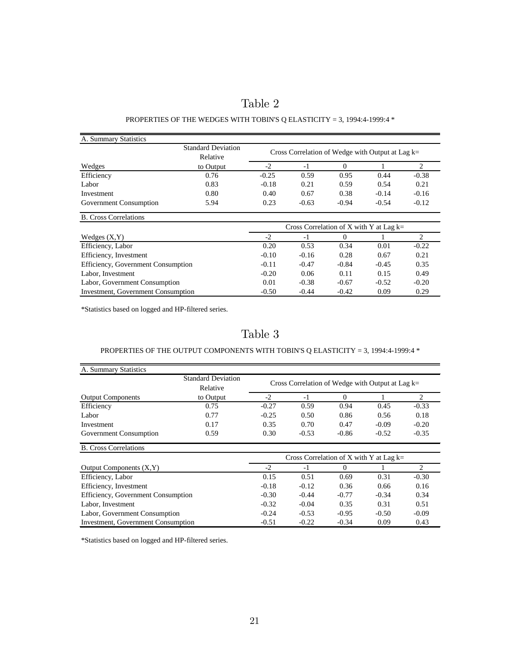| abie |  |
|------|--|
|------|--|

### PROPERTIES OF THE WEDGES WITH TOBIN'S Q ELASTICITY = 3, 1994:4-1999:4  $^\ast$

| A. Summary Statistics                     |                                       |                                                    |         |                                                                                                                                                                                                                                                            |   |         |
|-------------------------------------------|---------------------------------------|----------------------------------------------------|---------|------------------------------------------------------------------------------------------------------------------------------------------------------------------------------------------------------------------------------------------------------------|---|---------|
|                                           | <b>Standard Deviation</b><br>Relative | Cross Correlation of Wedge with Output at Lag $k=$ |         |                                                                                                                                                                                                                                                            |   |         |
| Wedges                                    | to Output                             | $-2$                                               | $-1$    | $\Omega$<br>0.95<br>0.44<br>0.59<br>0.54<br>0.38<br>$-0.14$<br>$-0.94$<br>$-0.54$<br>Cross Correlation of X with Y at Lag $k=$<br>$-1$<br>0<br>0.34<br>0.01<br>0.28<br>0.67<br>$-0.84$<br>$-0.45$<br>0.15<br>0.11<br>$-0.67$<br>$-0.52$<br>$-0.42$<br>0.09 | 2 |         |
| Efficiency                                | 0.76                                  | $-0.25$                                            | 0.59    |                                                                                                                                                                                                                                                            |   | $-0.38$ |
| Labor                                     | 0.83                                  | $-0.18$                                            | 0.21    |                                                                                                                                                                                                                                                            |   | 0.21    |
| Investment                                | 0.80                                  | 0.40                                               | 0.67    |                                                                                                                                                                                                                                                            |   | $-0.16$ |
| Government Consumption                    | 5.94                                  | 0.23                                               | $-0.63$ |                                                                                                                                                                                                                                                            |   | $-0.12$ |
| <b>B.</b> Cross Correlations              |                                       |                                                    |         |                                                                                                                                                                                                                                                            |   |         |
|                                           |                                       |                                                    |         |                                                                                                                                                                                                                                                            |   |         |
| Wedges $(X, Y)$                           |                                       | $-2$                                               |         |                                                                                                                                                                                                                                                            |   | 2       |
| Efficiency, Labor                         |                                       | 0.20                                               | 0.53    |                                                                                                                                                                                                                                                            |   | $-0.22$ |
| Efficiency, Investment                    |                                       | $-0.10$                                            | $-0.16$ |                                                                                                                                                                                                                                                            |   | 0.21    |
| Efficiency, Government Consumption        |                                       | $-0.11$                                            | $-0.47$ |                                                                                                                                                                                                                                                            |   | 0.35    |
| Labor, Investment                         |                                       | $-0.20$                                            | 0.06    |                                                                                                                                                                                                                                                            |   | 0.49    |
| Labor, Government Consumption             |                                       | 0.01                                               | $-0.38$ |                                                                                                                                                                                                                                                            |   | $-0.20$ |
| <b>Investment, Government Consumption</b> |                                       | $-0.50$                                            | $-0.44$ |                                                                                                                                                                                                                                                            |   | 0.29    |

\*Statistics based on logged and HP-filtered series.

Table 3

## PROPERTIES OF THE OUTPUT COMPONENTS WITH TOBIN'S Q ELASTICITY = 3, 1994:4-1999:4  $^\ast$

| A. Summary Statistics                     |                                       |                                                    |                                           |          |         |                               |
|-------------------------------------------|---------------------------------------|----------------------------------------------------|-------------------------------------------|----------|---------|-------------------------------|
|                                           | <b>Standard Deviation</b><br>Relative | Cross Correlation of Wedge with Output at Lag $k=$ |                                           |          |         |                               |
| <b>Output Components</b>                  | to Output                             | $-2$                                               | $-1$                                      | $\Omega$ |         | $\mathfrak{D}$                |
| Efficiency                                | 0.75                                  | $-0.27$                                            | 0.59                                      | 0.94     | 0.45    | $-0.33$                       |
| Labor                                     | 0.77                                  | $-0.25$                                            | 0.50                                      | 0.86     | 0.56    | 0.18                          |
| Investment                                | 0.17                                  | 0.35                                               | 0.70                                      | 0.47     | $-0.09$ | $-0.20$                       |
| Government Consumption                    | 0.59                                  | 0.30                                               | $-0.53$                                   | $-0.86$  | $-0.52$ | $-0.35$                       |
| <b>B.</b> Cross Correlations              |                                       |                                                    |                                           |          |         |                               |
|                                           |                                       |                                                    | Cross Correlation of X with Y at Lag $k=$ |          |         |                               |
| Output Components $(X, Y)$                |                                       | $-2$                                               | $-1$                                      | 0        |         | $\mathfrak{D}_{\mathfrak{p}}$ |
| Efficiency, Labor                         |                                       | 0.15                                               | 0.51                                      | 0.69     | 0.31    | $-0.30$                       |
| Efficiency, Investment                    |                                       | $-0.18$                                            | $-0.12$                                   | 0.36     | 0.66    | 0.16                          |
| Efficiency, Government Consumption        |                                       | $-0.30$                                            | $-0.44$                                   | $-0.77$  | $-0.34$ | 0.34                          |
| Labor, Investment                         |                                       | $-0.32$                                            | $-0.04$                                   | 0.35     | 0.31    | 0.51                          |
| Labor, Government Consumption             |                                       | $-0.24$                                            | $-0.53$                                   | $-0.95$  | $-0.50$ | $-0.09$                       |
| <b>Investment, Government Consumption</b> |                                       | $-0.51$                                            | $-0.22$                                   | $-0.34$  | 0.09    | 0.43                          |

\*Statistics based on logged and HP-filtered series.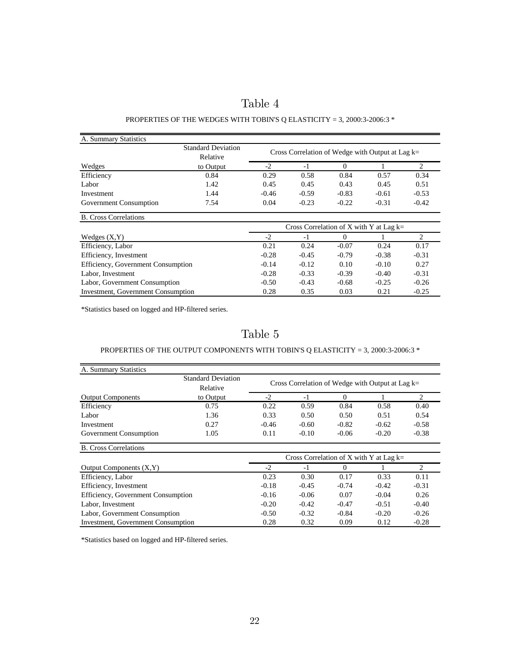| abie |  |
|------|--|
|------|--|

### PROPERTIES OF THE WEDGES WITH TOBIN'S Q ELASTICITY = 3, 2000:3-2006:3  $^{\ast}$

| A. Summary Statistics                     |                                       |                                                                                                                                                                                                                                                                                                                                                                                                                                                                                                 |   |  |  |         |
|-------------------------------------------|---------------------------------------|-------------------------------------------------------------------------------------------------------------------------------------------------------------------------------------------------------------------------------------------------------------------------------------------------------------------------------------------------------------------------------------------------------------------------------------------------------------------------------------------------|---|--|--|---------|
|                                           | <b>Standard Deviation</b><br>Relative | Cross Correlation of Wedge with Output at Lag $k=$                                                                                                                                                                                                                                                                                                                                                                                                                                              |   |  |  |         |
| Wedges                                    | to Output                             | $-2$<br>$\Omega$<br>$-1$<br>0.29<br>0.58<br>0.84<br>0.57<br>0.45<br>0.45<br>0.43<br>0.45<br>$-0.59$<br>$-0.46$<br>$-0.83$<br>$-0.61$<br>0.04<br>$-0.23$<br>$-0.22$<br>$-0.31$<br>Cross Correlation of X with Y at Lag $k=$<br>$-2$<br>$-1$<br>0<br>0.24<br>0.24<br>0.21<br>$-0.07$<br>$-0.38$<br>$-0.28$<br>$-0.45$<br>$-0.79$<br>0.10<br>$-0.14$<br>$-0.12$<br>$-0.10$<br>$-0.28$<br>$-0.33$<br>$-0.39$<br>$-0.40$<br>$-0.50$<br>$-0.43$<br>$-0.25$<br>$-0.68$<br>0.28<br>0.35<br>0.03<br>0.21 | 2 |  |  |         |
| Efficiency                                | 0.84                                  |                                                                                                                                                                                                                                                                                                                                                                                                                                                                                                 |   |  |  | 0.34    |
| Labor                                     | 1.42                                  |                                                                                                                                                                                                                                                                                                                                                                                                                                                                                                 |   |  |  | 0.51    |
| Investment                                | 1.44                                  |                                                                                                                                                                                                                                                                                                                                                                                                                                                                                                 |   |  |  | $-0.53$ |
| Government Consumption                    | 7.54                                  |                                                                                                                                                                                                                                                                                                                                                                                                                                                                                                 |   |  |  | $-0.42$ |
| <b>B.</b> Cross Correlations              |                                       |                                                                                                                                                                                                                                                                                                                                                                                                                                                                                                 |   |  |  |         |
|                                           |                                       |                                                                                                                                                                                                                                                                                                                                                                                                                                                                                                 |   |  |  |         |
| Wedges $(X,Y)$                            |                                       |                                                                                                                                                                                                                                                                                                                                                                                                                                                                                                 |   |  |  | 2       |
| Efficiency, Labor                         |                                       |                                                                                                                                                                                                                                                                                                                                                                                                                                                                                                 |   |  |  | 0.17    |
| Efficiency, Investment                    |                                       |                                                                                                                                                                                                                                                                                                                                                                                                                                                                                                 |   |  |  | $-0.31$ |
| Efficiency, Government Consumption        |                                       |                                                                                                                                                                                                                                                                                                                                                                                                                                                                                                 |   |  |  | 0.27    |
| Labor, Investment                         |                                       |                                                                                                                                                                                                                                                                                                                                                                                                                                                                                                 |   |  |  | $-0.31$ |
| Labor, Government Consumption             |                                       |                                                                                                                                                                                                                                                                                                                                                                                                                                                                                                 |   |  |  | $-0.26$ |
| <b>Investment, Government Consumption</b> |                                       |                                                                                                                                                                                                                                                                                                                                                                                                                                                                                                 |   |  |  | $-0.25$ |

\*Statistics based on logged and HP-filtered series.

Table 5

### PROPERTIES OF THE OUTPUT COMPONENTS WITH TOBIN'S Q ELASTICITY = 3, 2000:3-2006:3  $^{\ast}$

| A. Summary Statistics              |                                       |         |                                                    |          |         |                               |
|------------------------------------|---------------------------------------|---------|----------------------------------------------------|----------|---------|-------------------------------|
|                                    | <b>Standard Deviation</b><br>Relative |         | Cross Correlation of Wedge with Output at Lag $k=$ |          |         |                               |
| <b>Output Components</b>           | to Output                             | $-2$    | $-1$                                               | 0        |         | $\mathfrak{D}$                |
| Efficiency                         | 0.75                                  | 0.22    | 0.59                                               | 0.84     | 0.58    | 0.40                          |
| Labor                              | 1.36                                  | 0.33    | 0.50                                               | 0.50     | 0.51    | 0.54                          |
| Investment                         | 0.27                                  | $-0.46$ | $-0.60$                                            | $-0.82$  | $-0.62$ | $-0.58$                       |
| Government Consumption             | 1.05                                  | 0.11    | $-0.10$                                            | $-0.06$  | $-0.20$ | $-0.38$                       |
| <b>B.</b> Cross Correlations       |                                       |         |                                                    |          |         |                               |
|                                    |                                       |         | Cross Correlation of X with Y at Lag $k=$          |          |         |                               |
| Output Components $(X, Y)$         |                                       | $-2$    | $-1$                                               | $\theta$ |         | $\mathfrak{D}_{\mathfrak{p}}$ |
| Efficiency, Labor                  |                                       | 0.23    | 0.30                                               | 0.17     | 0.33    | 0.11                          |
| Efficiency, Investment             |                                       | $-0.18$ | $-0.45$                                            | $-0.74$  | $-0.42$ | $-0.31$                       |
| Efficiency, Government Consumption |                                       | $-0.16$ | $-0.06$                                            | 0.07     | $-0.04$ | 0.26                          |
| Labor, Investment                  |                                       | $-0.20$ | $-0.42$                                            | $-0.47$  | $-0.51$ | $-0.40$                       |
| Labor, Government Consumption      |                                       | $-0.50$ | $-0.32$                                            | $-0.84$  | $-0.20$ | $-0.26$                       |
| Investment, Government Consumption |                                       | 0.28    | 0.32                                               | 0.09     | 0.12    | $-0.28$                       |

\*Statistics based on logged and HP-filtered series.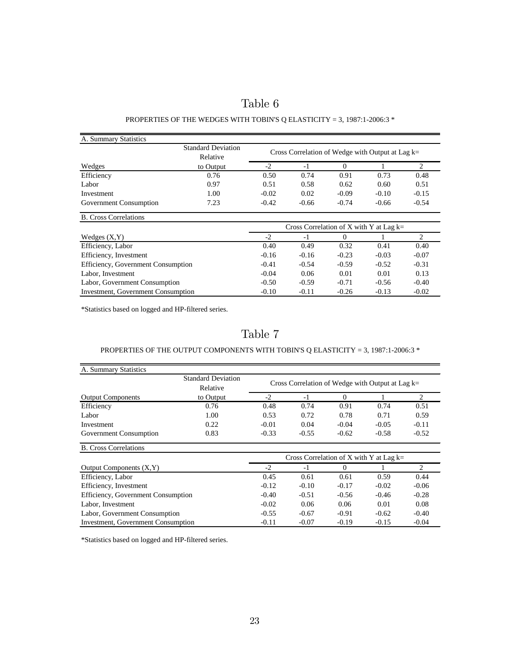| Table |  |
|-------|--|
|-------|--|

### PROPERTIES OF THE WEDGES WITH TOBIN'S Q ELASTICITY = 3, 1987:1-2006:3  $^{\ast}$

| A. Summary Statistics                     |                                       |                                                    |                                                                                                                                                                                                                                                                                                                                                                                                                                                                                            |   |  |         |
|-------------------------------------------|---------------------------------------|----------------------------------------------------|--------------------------------------------------------------------------------------------------------------------------------------------------------------------------------------------------------------------------------------------------------------------------------------------------------------------------------------------------------------------------------------------------------------------------------------------------------------------------------------------|---|--|---------|
|                                           | <b>Standard Deviation</b><br>Relative | Cross Correlation of Wedge with Output at Lag $k=$ |                                                                                                                                                                                                                                                                                                                                                                                                                                                                                            |   |  |         |
| Wedges                                    | to Output                             | $-2$                                               | $\Omega$<br>$-1$<br>0.74<br>0.91<br>0.73<br>0.50<br>0.51<br>0.58<br>0.62<br>0.60<br>$-0.02$<br>0.02<br>$-0.09$<br>$-0.10$<br>$-0.42$<br>$-0.74$<br>$-0.66$<br>$-0.66$<br>Cross Correlation of X with Y at Lag $k=$<br>$-2$<br>$-1$<br>0<br>0.49<br>0.32<br>0.40<br>0.41<br>$-0.23$<br>$-0.16$<br>$-0.16$<br>$-0.03$<br>$-0.41$<br>$-0.54$<br>$-0.59$<br>$-0.52$<br>$-0.04$<br>0.06<br>0.01<br>0.01<br>$-0.50$<br>$-0.59$<br>$-0.71$<br>$-0.56$<br>$-0.10$<br>$-0.11$<br>$-0.26$<br>$-0.13$ | 2 |  |         |
| Efficiency                                | 0.76                                  |                                                    |                                                                                                                                                                                                                                                                                                                                                                                                                                                                                            |   |  | 0.48    |
| Labor                                     | 0.97                                  |                                                    |                                                                                                                                                                                                                                                                                                                                                                                                                                                                                            |   |  | 0.51    |
| Investment                                | 1.00                                  |                                                    |                                                                                                                                                                                                                                                                                                                                                                                                                                                                                            |   |  | $-0.15$ |
| Government Consumption                    | 7.23                                  |                                                    |                                                                                                                                                                                                                                                                                                                                                                                                                                                                                            |   |  | $-0.54$ |
| <b>B.</b> Cross Correlations              |                                       |                                                    |                                                                                                                                                                                                                                                                                                                                                                                                                                                                                            |   |  |         |
|                                           |                                       |                                                    |                                                                                                                                                                                                                                                                                                                                                                                                                                                                                            |   |  |         |
| Wedges $(X, Y)$                           |                                       |                                                    |                                                                                                                                                                                                                                                                                                                                                                                                                                                                                            |   |  | 2       |
| Efficiency, Labor                         |                                       |                                                    |                                                                                                                                                                                                                                                                                                                                                                                                                                                                                            |   |  | 0.40    |
| Efficiency, Investment                    |                                       |                                                    |                                                                                                                                                                                                                                                                                                                                                                                                                                                                                            |   |  | $-0.07$ |
| Efficiency, Government Consumption        |                                       |                                                    |                                                                                                                                                                                                                                                                                                                                                                                                                                                                                            |   |  | $-0.31$ |
| Labor, Investment                         |                                       |                                                    |                                                                                                                                                                                                                                                                                                                                                                                                                                                                                            |   |  | 0.13    |
| Labor, Government Consumption             |                                       |                                                    |                                                                                                                                                                                                                                                                                                                                                                                                                                                                                            |   |  | $-0.40$ |
| <b>Investment, Government Consumption</b> |                                       |                                                    |                                                                                                                                                                                                                                                                                                                                                                                                                                                                                            |   |  | $-0.02$ |

\*Statistics based on logged and HP-filtered series.

Table 7

### PROPERTIES OF THE OUTPUT COMPONENTS WITH TOBIN'S Q ELASTICITY = 3, 1987:1-2006:3  $^\ast$

| A. Summary Statistics                     |                                       |                                                    |                                           |         |         |                |
|-------------------------------------------|---------------------------------------|----------------------------------------------------|-------------------------------------------|---------|---------|----------------|
|                                           | <b>Standard Deviation</b><br>Relative | Cross Correlation of Wedge with Output at Lag $k=$ |                                           |         |         |                |
| <b>Output Components</b>                  | to Output                             | $-2$                                               | $-1$                                      | 0       |         | 2              |
| Efficiency                                | 0.76                                  | 0.48                                               | 0.74                                      | 0.91    | 0.74    | 0.51           |
| Labor                                     | 1.00                                  | 0.53                                               | 0.72                                      | 0.78    | 0.71    | 0.59           |
| Investment                                | 0.22                                  | $-0.01$                                            | 0.04                                      | $-0.04$ | $-0.05$ | $-0.11$        |
| Government Consumption                    | 0.83                                  | $-0.33$                                            | $-0.55$                                   | $-0.62$ | $-0.58$ | $-0.52$        |
| <b>B.</b> Cross Correlations              |                                       |                                                    |                                           |         |         |                |
|                                           |                                       |                                                    | Cross Correlation of X with Y at Lag $k=$ |         |         |                |
| Output Components $(X, Y)$                |                                       | $-2$                                               | $-1$                                      | 0       |         | $\mathfrak{D}$ |
| Efficiency, Labor                         |                                       | 0.45                                               | 0.61                                      | 0.61    | 0.59    | 0.44           |
| Efficiency, Investment                    |                                       | $-0.12$                                            | $-0.10$                                   | $-0.17$ | $-0.02$ | $-0.06$        |
| Efficiency, Government Consumption        |                                       | $-0.40$                                            | $-0.51$                                   | $-0.56$ | $-0.46$ | $-0.28$        |
| Labor, Investment                         |                                       | $-0.02$                                            | 0.06                                      | 0.06    | 0.01    | 0.08           |
| Labor, Government Consumption             |                                       | $-0.55$                                            | $-0.67$                                   | $-0.91$ | $-0.62$ | $-0.40$        |
| <b>Investment, Government Consumption</b> |                                       | $-0.11$                                            | $-0.07$                                   | $-0.19$ | $-0.15$ | $-0.04$        |

\*Statistics based on logged and HP-filtered series.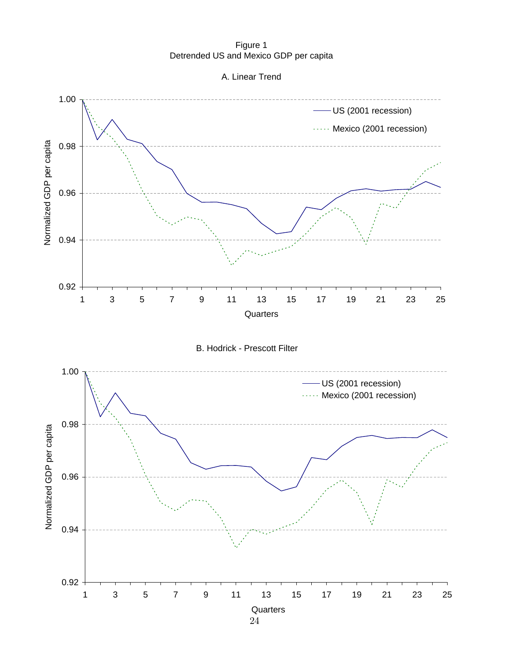Figure 1 Detrended US and Mexico GDP per capita



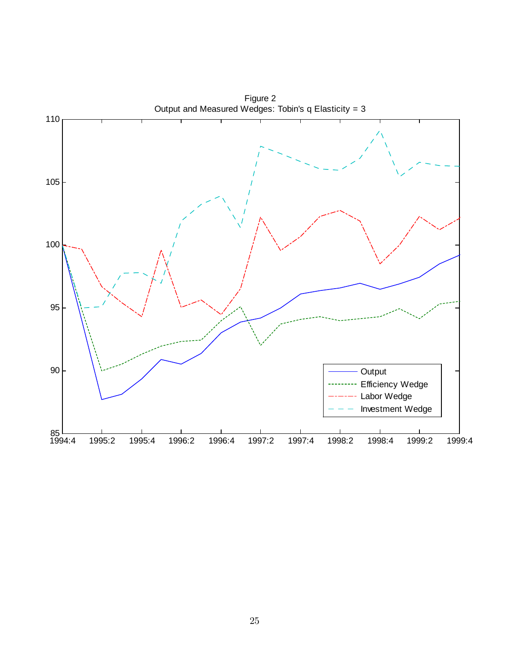

Figure 2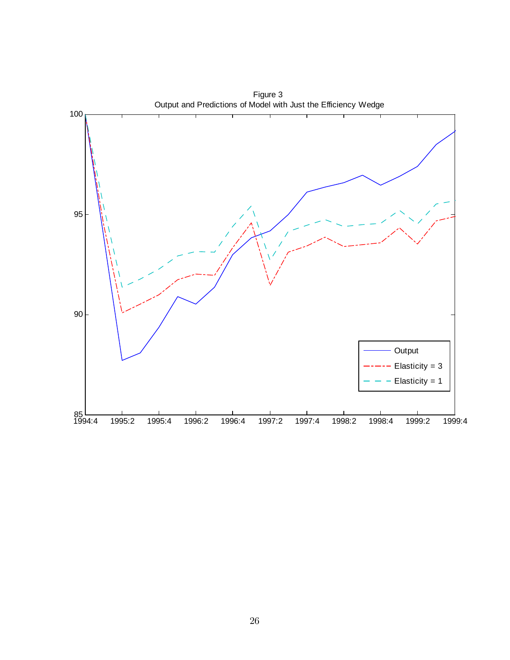

Figure 3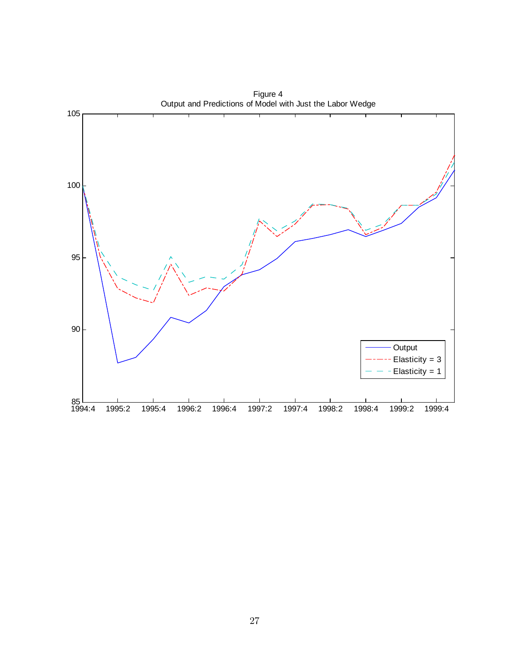

Figure 4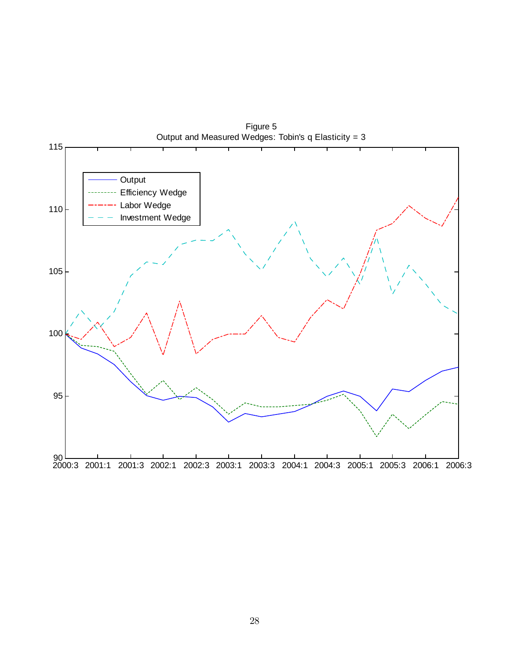

Figure 5 Output and Measured Wedges: Tobin's q Elasticity = 3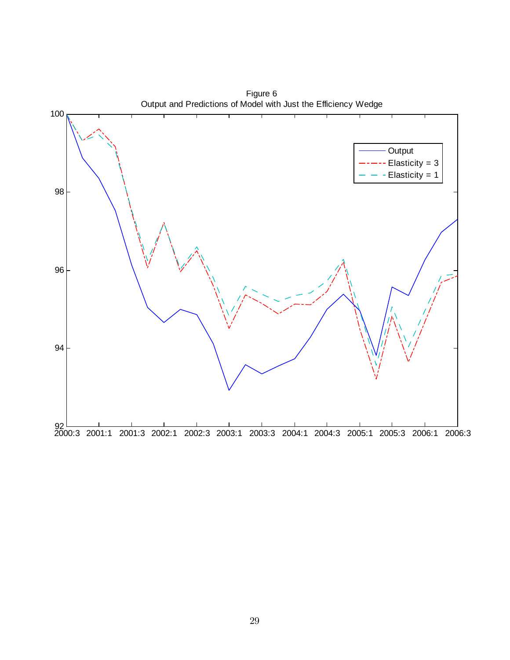

Figure 6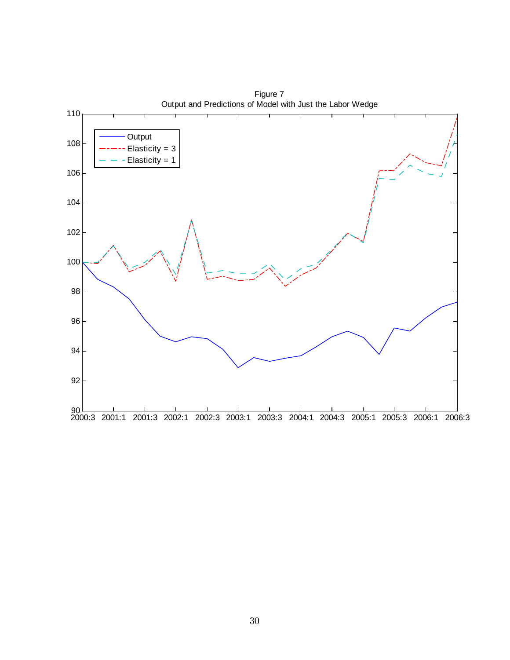

Figure 7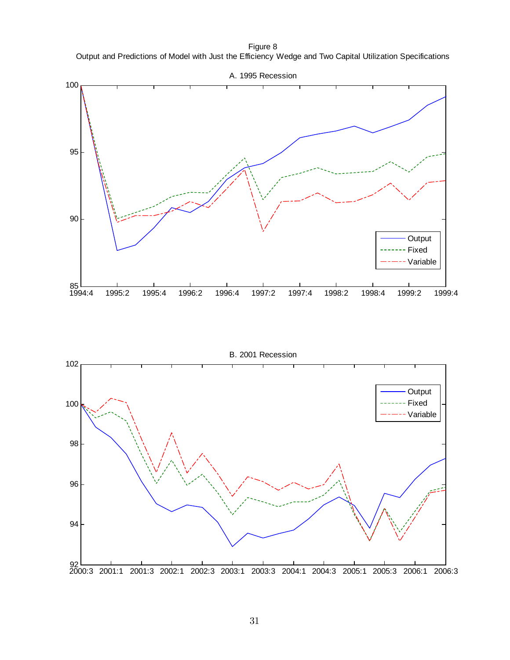Figure 8 Output and Predictions of Model with Just the Efficiency Wedge and Two Capital Utilization Specifications



B. 2001 Recession

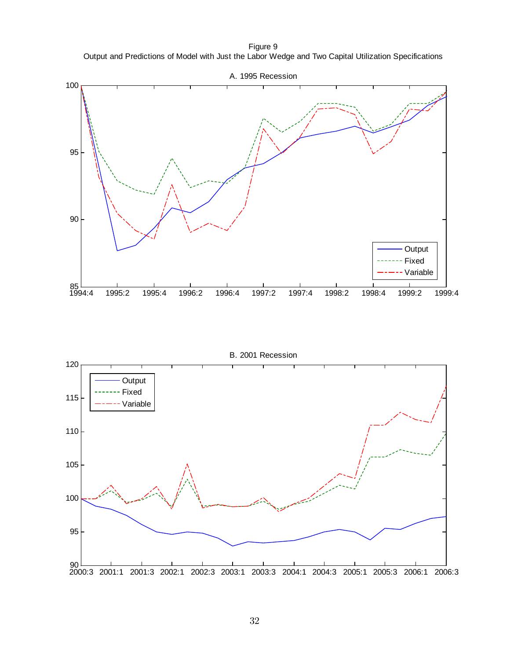Figure 9 Output and Predictions of Model with Just the Labor Wedge and Two Capital Utilization Specifications



B. 2001 Recession

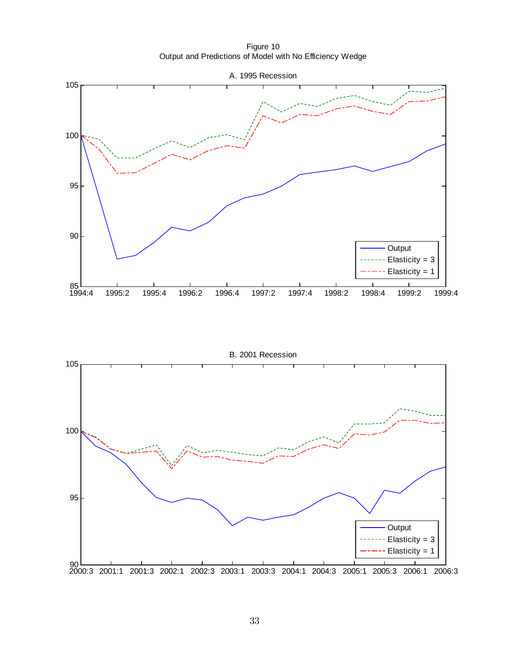Figure 10 Output and Predictions of Model with No Efficiency Wedge



B. 2001 Recession

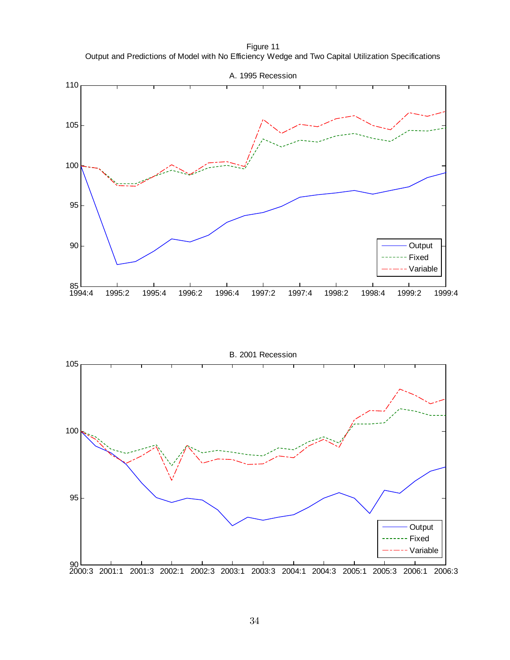Figure 11 Output and Predictions of Model with No Efficiency Wedge and Two Capital Utilization Specifications



B. 2001 Recession

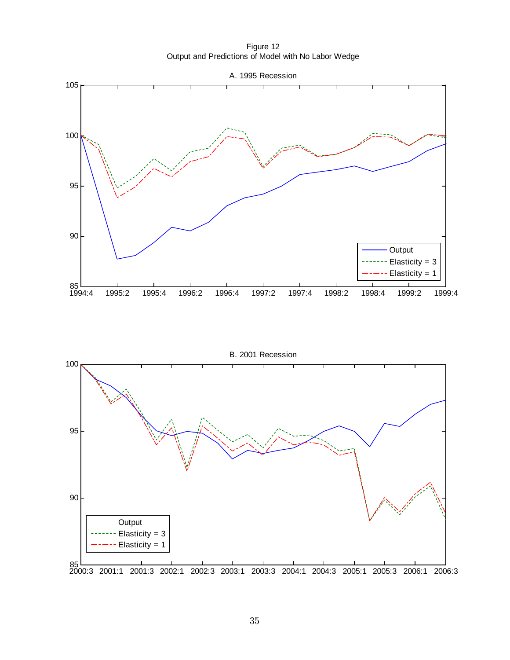Figure 12 Output and Predictions of Model with No Labor Wedge